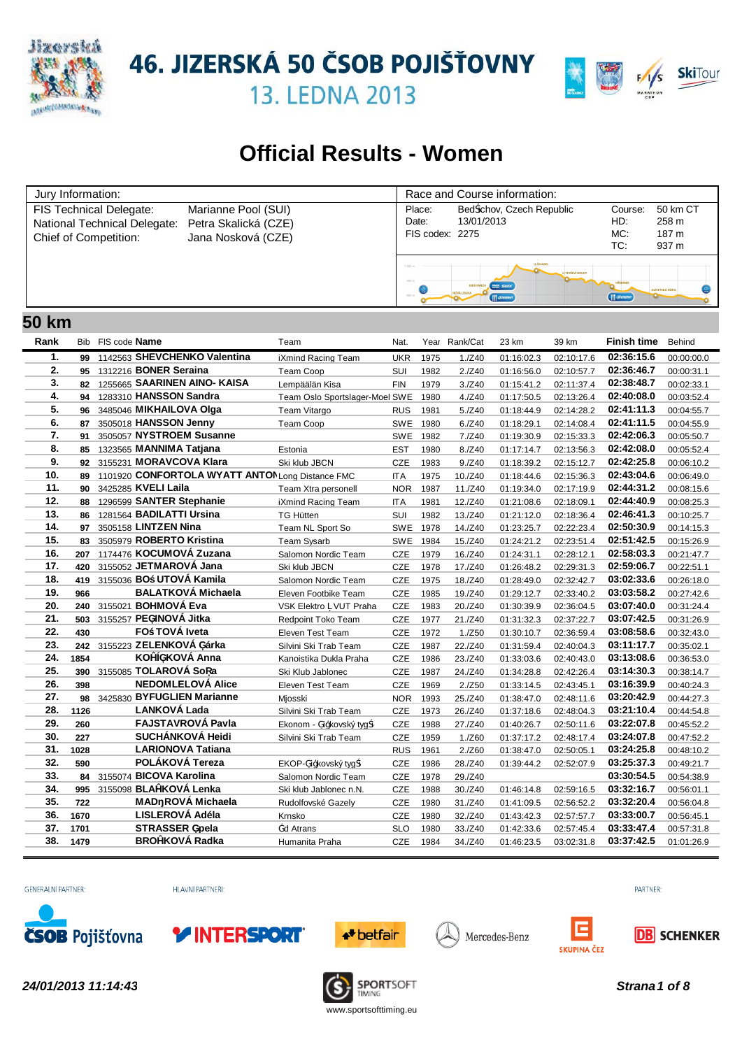

46. JIZERSKÁ 50 ČSOB POJIŠŤOVNY



**13. LEDNA 2013** 

# **Official Results - Women**

| Jury Information:                                                                                                                                     |  | Race and Course information:       |                                                              |                              |                                     |  |  |  |
|-------------------------------------------------------------------------------------------------------------------------------------------------------|--|------------------------------------|--------------------------------------------------------------|------------------------------|-------------------------------------|--|--|--|
| FIS Technical Delegate:<br>Marianne Pool (SUI)<br>National Technical Delegate:<br>Petra Skalická (CZE)<br>Chief of Competition:<br>Jana Nosková (CZE) |  | Place:<br>Date:<br>FIS codex: 2275 | Bed ichov, Czech Republic<br>13/01/2013                      | Course:<br>HD:<br>MC:<br>TC: | 50 km CT<br>258 m<br>187 m<br>937 m |  |  |  |
|                                                                                                                                                       |  | 1.000 (<br>800 m                   | <b>Confession Company</b><br><b>WAX SWIX</b><br>(III @Ensemn | $($     $\oslash$ sosaw      | <b>OUVETSKÁ HORA</b>                |  |  |  |

#### **Rank** Bib **Name** Team Nat. Year Rank/Cat **Finish time** Behind **50 km** FIS code **Name Examele 23 km** 39 km 39 km 39 km **1. 99** 1142563 **SHEVCHENKO Valentina** iXmind Racing Team UKR 1975 1./Z40 01:16:02.3 02:10:17.6 **02:36:15.6** 00:00:00.0 **2. 95** 1312216 **BONER Seraina** Team Coop SUI 1982 2./Z40 01:16:56.0 02:10:57.7 **02:36:46.7** 00:00:31.1 **3. 82** 1255665 **SAARINEN AINO- KAISA** Lempäälän Kisa FIN 1979 3./Z40 01:15:41.2 02:11:37.4 **02:38:48.7** 00:02:33.1 4. **94** 1283310 **HANSSON Sandra** Team Oslo Sportslager-Moel SWE 1980 4./Z40 01:17:50.5 02:13:26.4 **02:40:08.0** 00:03:52.4 **5. 96** 3485046 **MIKHAILOVA Olga** Team Vitargo RUS 1981 5./Z40 01:18:44.9 02:14:28.2 **02:41:11.3** 00:04:55.7 **6. 87** 3505018 **HANSSON Jenny** Team Coop SWE 1980 6./Z40 01:18:29.1 02:14:08.4 **02:41:11.5** 00:04:55.9 **7. 91** 3505057 **NYSTROEM Susanne** SWE 1982 7./Z40 01:19:30.9 02:15:33.3 **02:42:06.3** 00:05:50.7 **8. 85** 1323565 **MANNIMA Tatjana** Estonia EST 1980 8./Z40 01:17:14.7 02:13:56.3 **02:42:08.0** 00:05:52.4 **9. 92** 3155231 **MORAVCOVA Klara** Ski klub JBCN CZE 1983 9./Z40 01:18:39.2 02:15:12.7 **02:42:25.8** 00:06:10.2 **10. 89** 1101920 CONFORTOLA WYATT ANTONLong Distance FMC ITA 1975 10./Z40 01:18:44.6 02:15:36.3 **02:43:04.6** 00:06:49.0 **11. 90** 3425285 **KVELI Laila** Team Xtra personell NOR 1987 11./Z40 01:19:34.0 02:17:19.9 **02:44:31.2** 00:08:15.6 **12. 88** 1296599 **SANTER Stephanie** iXmind Racing Team ITA 1981 12./Z40 01:21:08.6 02:18:09.1 **02:44:40.9** 00:08:25.3 **13. 86** 1281564 **BADILATTI Ursina** TG Hütten SUI 1982 13./Z40 01:21:12.0 02:18:36.4 **02:46:41.3** 00:10:25.7 **14. 97** 3505158 **LINTZEN Nina** Team NL Sport So SWE 1978 14./Z40 01:23:25.7 02:22:23.4 **02:50:30.9** 00:14:15.3 **15. 83** 3505979 **ROBERTO Kristina** Team Sysarb SWE 1984 15./Z40 01:24:21.2 02:23:51.4 **02:51:42.5** 00:15:26.9 **16. 207** 1174476 **KOCUMOVÁ Zuzana** Salomon Nordic Team CZE 1979 16./Z40 01:24:31.1 02:28:12.1 **02:58:03.3** 00:21:47.7 **17. 420** 3155052 **JETMAROVÁ Jana** Ski klub JBCN CZE 1978 17./Z40 01:26:48.2 02:29:31.3 **02:59:06.7** 00:22:51.1 **18. 419** 3155036 **BO UTOVÁ Kamila** Salomon Nordic Team CZE 1975 18./Z40 01:28:49.0 02:32:42.7 **03:02:33.6** 00:26:18.0 **19. 966 BALATKOVÁ Michaela** Eleven Footbike Team CZE 1985 19./Z40 01:29:12.7 02:33:40.2 **03:03:58.2** 00:27:42.6 **20. 240** 3155021 **BOHMOVÁ Eva** VSK Elektro VUT Praha CZE 1983 20./Z40 01:30:39.9 02:36:04.5 **03:07:40.0** 00:31:24.4 **21. 503** 3155257 **PEŠINOVÁ Jitka** Redpoint Toko Team CZE 1977 21./Z40 01:31:32.3 02:37:22.7 **03:07:42.5** 00:31:26.9 **22. 430 FO TOVÁ Iveta** Eleven Test Team CZE 1972 1./Z50 01:30:10.7 02:36:59.4 **03:08:58.6** 00:32:43.0 **23. 242** 3155223 **ZELENKOVÁ Šárka** Silvini Ski Trab Team CZE 1987 22./Z40 01:31:59.4 02:40:04.3 **03:11:17.7** 00:35:02.1 **24. 1854 KOŽÍŠKOVÁ Anna** Kanoistika Dukla Praha CZE 1986 23./Z40 01:33:03.6 02:40:43.0 **03:13:08.6** 00:36:53.0 **25. 390** 3155085 **TOLAROVÁ So a** Ski Klub Jablonec CZE 1987 24./Z40 01:34:28.8 02:42:26.4 **03:14:30.3** 00:38:14.7 **26. 398 NEDOMLELOVÁ Alice** Eleven Test Team CZE 1969 2./Z50 01:33:14.5 02:43:45.1 **03:16:39.9** 00:40:24.3 **27. 98** 3425830 **BYFUGLIEN Marianne** Mjosski NOR 1993 25./Z40 01:38:47.0 02:48:11.6 **03:20:42.9** 00:44:27.3 **28. 1126 LANKOVÁ Lada** Silvini Ski Trab Team CZE 1973 26./Z40 01:37:18.6 02:48:04.3 **03:21:10.4** 00:44:54.8 **29. 260 FAJSTAVROVÁ Pavla** Ekonom - Žižkovský tyg i CZE 1988 27./Z40 01:40:26.7 02:50:11.6 **03:22:07.8** 00:45:52.2 **30. 227 SUCHÁNKOVÁ Heidi** Silvini Ski Trab Team CZE 1959 1./Z60 01:37:17.2 02:48:17.4 **03:24:07.8** 00:47:52.2 **31. 1028 LARIONOVA Tatiana** RUS 1961 2./Z60 01:38:47.0 02:50:05.1 **03:24:25.8** 00:48:10.2 **32. 590 POLÁKOVÁ Tereza** EKOP-Žižkovský tyg i CZE 1986 28./Z40 01:39:44.2 02:52:07.9 **03:25:37.3** 00:49:21.7 **33. 84** 3155074 **BICOVA Karolina** Salomon Nordic Team CZE 1978 29./Z40 **03:30:54.5** 00:54:38.9 **34. 995** 3155098 **BLAŽKOVÁ Lenka** Ski klub Jablonec n.N. CZE 1988 30./Z40 01:46:14.8 02:59:16.5 **03:32:16.7** 00:56:01.1 **35. 722 MAD ROVÁ Michaela** Rudolfovské Gazely CZE 1980 31./Z40 01:41:09.5 02:56:52.2 **03:32:20.4** 00:56:04.8 **36. 1670 LISLEROVÁ Adéla** Krnsko CZE 1980 32./Z40 01:43:42.3 02:57:57.7 **03:33:00.7** 00:56:45.1 **37. 1701 STRASSER üpela**  $\qquad \qquad \frac{1}{4}$ d Atrans SLO 1980 33./Z40 01:42:33.6 02:57:45.4 **03:33:47.4** 00:57:31.8 **38. 1479 BROŽKOVÁ Radka** Humanita Praha CZE 1984 34./Z40 01:46:23.5 03:02:31.8 **03:37:42.5** 01:01:26.9

**GENERÁLNÍ PARTNER** 

HI AVNÍ PARTNEŘI-







Mercedes-Benz





*24/01/2013 11:14:43 Strana1 of 8*

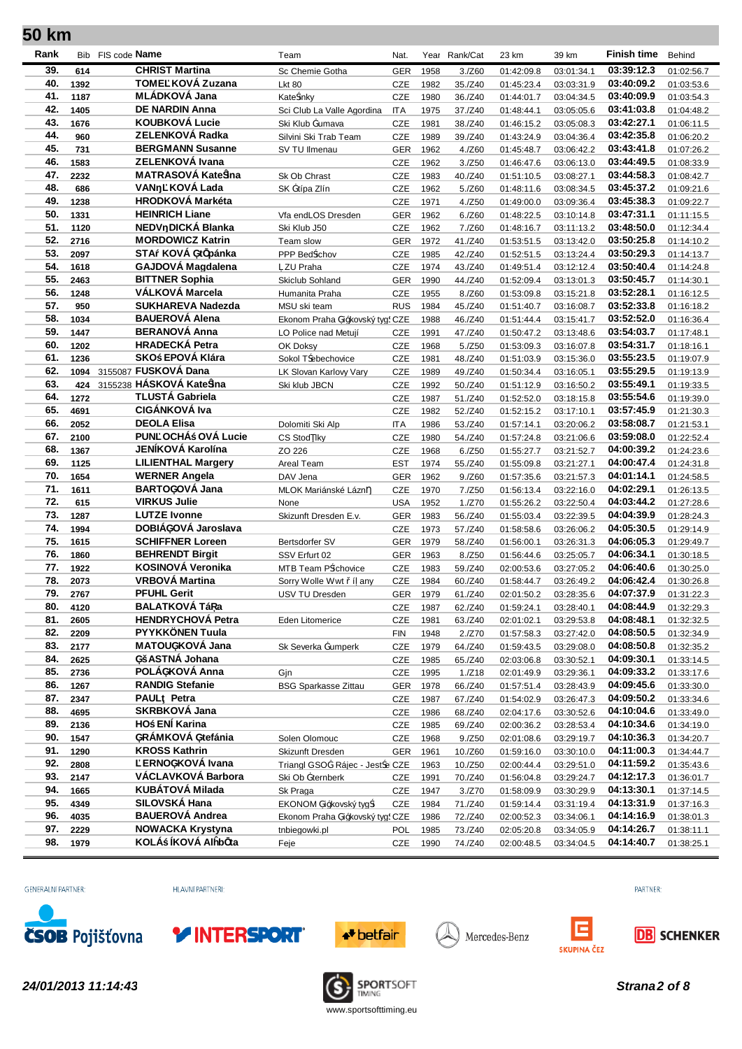| Rank       |              | Bib FIS code <b>Name</b>                   | Team                              | Nat.              |              | Year Rank/Cat     | 23 km                    | 39 km                    | <b>Finish time</b>       | Behind                   |
|------------|--------------|--------------------------------------------|-----------------------------------|-------------------|--------------|-------------------|--------------------------|--------------------------|--------------------------|--------------------------|
| 39.        | 614          | <b>CHRIST Martina</b>                      | Sc Chemie Gotha                   | <b>GER</b>        | 1958         | 3./Z60            | 01:42:09.8               | 03:01:34.1               | 03:39:12.3               | 01:02:56.7               |
| 40.        | 1392         | TOME KOVÁ Zuzana                           | <b>Lkt 80</b>                     | CZE               | 1982         | 35./Z40           | 01:45:23.4               | 03:03:31.9               | 03:40:09.2               | 01:03:53.6               |
| 41.        | 1187         | <b>MLÁDKOVÁ Jana</b>                       | Kate inky                         | <b>CZE</b>        | 1980         | 36./Z40           | 01:44:01.7               | 03:04:34.5               | 03:40:09.9               | 01:03:54.3               |
| 42.        | 1405         | <b>DE NARDIN Anna</b>                      | Sci Club La Valle Agordina        | <b>ITA</b>        | 1975         | 37./Z40           | 01:48:44.1               | 03:05:05.6               | 03:41:03.8               | 01:04:48.2               |
| 43.        | 1676         | <b>KOUBKOVÁ Lucie</b>                      | Ski Klub ¥umava                   | <b>CZE</b>        | 1981         | 38./Z40           | 01:46:15.2               | 03:05:08.3               | 03:42:27.1               | 01:06:11.5               |
| 44.        | 960          | ZELENKOVÁ Radka                            | Silvini Ski Trab Team             | <b>CZE</b>        | 1989         | 39./Z40           | 01:43:24.9               | 03:04:36.4               | 03:42:35.8               | 01:06:20.2               |
| 45.        | 731          | <b>BERGMANN Susanne</b>                    | SV TU Ilmenau                     | GER               | 1962         | 4./Z60            | 01:45:48.7               | 03:06:42.2               | 03:43:41.8               | 01:07:26.2               |
| 46.        | 1583         | ZELENKOVÁ Ivana                            |                                   | CZE               | 1962         | 3./Z50            | 01:46:47.6               | 03:06:13.0               | 03:44:49.5               | 01:08:33.9               |
| 47.        | 2232         | <b>MATRASOVÁ Kate ina</b>                  | Sk Ob Chrast                      | <b>CZE</b>        | 1983         | 40./Z40           | 01:51:10.5               | 03:08:27.1               | 03:44:58.3               | 01:08:42.7               |
| 48.        | 686          | KOVÁ Lada<br><b>VAN</b>                    | SK ¥típa Zlín                     | CZE               | 1962         | 5./Z60            | 01:48:11.6               | 03:08:34.5               | 03:45:37.2               | 01:09:21.6               |
| 49.        | 1238         | <b>HRODKOVÁ Markéta</b>                    |                                   | <b>CZE</b>        | 1971         | 4./Z50            | 01:49:00.0               | 03:09:36.4               | 03:45:38.3               | 01:09:22.7               |
| 50.<br>51. | 1331         | <b>HEINRICH Liane</b><br>NEDV DICKÁ Blanka | Vfa endLOS Dresden                | <b>GER</b>        | 1962         | 6./Z60            | 01:48:22.5               | 03:10:14.8               | 03:47:31.1               | 01:11:15.5               |
| 52.        | 1120         | <b>MORDOWICZ Katrin</b>                    | Ski Klub J50                      | CZE               | 1962         | 7./Z60            | 01:48:16.7               | 03:11:13.2               | 03:48:50.0<br>03:50:25.8 | 01:12:34.4               |
| 53.        | 2716         | STA KOVÁ üt pánka                          | Team slow                         | <b>GER</b>        | 1972         | 41./Z40           | 01:53:51.5               | 03:13:42.0               | 03:50:29.3               | 01:14:10.2               |
| 54.        | 2097<br>1618 | GAJDOVÁ Magdalena                          | PPP Bed ichov                     | CZE               | 1985         | 42./Z40           | 01:52:51.5               | 03:13:24.4               | 03:50:40.4               | 01:14:13.7               |
| 55.        | 2463         | <b>BITTNER Sophia</b>                      | ZU Praha                          | CZE               | 1974<br>1990 | 43./Z40           | 01:49:51.4               | 03:12:12.4               | 03:50:45.7               | 01:14:24.8               |
| 56.        | 1248         | VÁLKOVÁ Marcela                            | Skiclub Sohland<br>Humanita Praha | <b>GER</b><br>CZE | 1955         | 44./Z40<br>8./Z60 | 01:52:09.4<br>01:53:09.8 | 03:13:01.3<br>03:15:21.8 | 03:52:28.1               | 01:14:30.1<br>01:16:12.5 |
| 57.        | 950          | <b>SUKHAREVA Nadezda</b>                   | MSU ski team                      | <b>RUS</b>        | 1984         | 45./Z40           | 01:51:40.7               | 03:16:08.7               | 03:52:33.8               | 01:16:18.2               |
| 58.        | 1034         | <b>BAUEROVÁ Alena</b>                      | Ekonom Praha ži0kovský tyg        | CZE               | 1988         | 46./Z40           | 01:51:44.4               | 03:15:41.7               | 03:52:52.0               | 01:16:36.4               |
| 59.        | 1447         | <b>BERANOVÁ Anna</b>                       | LO Police nad Metují              | CZE               | 1991         | 47./Z40           | 01:50:47.2               | 03:13:48.6               | 03:54:03.7               | 01:17:48.1               |
| 60.        | 1202         | <b>HRADECKÁ Petra</b>                      | OK Doksy                          | CZE               | 1968         | 5./Z50            | 01:53:09.3               | 03:16:07.8               | 03:54:31.7               | 01:18:16.1               |
| 61.        | 1236         | SKO EPOVÁ Klára                            | Sokol T ebechovice                | CZE               | 1981         | 48./Z40           | 01:51:03.9               | 03:15:36.0               | 03:55:23.5               | 01:19:07.9               |
| 62.        |              | 1094 3155087 FUSKOVÁ Dana                  | LK Slovan Karlovy Vary            | CZE               | 1989         | 49./Z40           | 01:50:34.4               | 03:16:05.1               | 03:55:29.5               | 01:19:13.9               |
| 63.        | 424          | 3155238 HÁSKOVÁ Kate ina                   | Ski klub JBCN                     | CZE               | 1992         | 50./Z40           | 01:51:12.9               | 03:16:50.2               | 03:55:49.1               | 01:19:33.5               |
| 64.        | 1272         | <b>TLUSTÁ Gabriela</b>                     |                                   | CZE               | 1987         | 51./Z40           | 01:52:52.0               | 03:18:15.8               | 03:55:54.6               | 01:19:39.0               |
| 65.        | 4691         | <b>CIGÁNKOVÁ Iva</b>                       |                                   | <b>CZE</b>        | 1982         | 52./Z40           | 01:52:15.2               | 03:17:10.1               | 03:57:45.9               | 01:21:30.3               |
| 66.        | 2052         | <b>DEOLA Elisa</b>                         | Dolomiti Ski Alp                  | <b>ITA</b>        | 1986         | 53./Z40           | 01:57:14.1               | 03:20:06.2               | 03:58:08.7               | 01:21:53.1               |
| 67.        | 2100         | PUN OCHÁ OVÁ Lucie                         | CS Stod Iky                       | CZE               | 1980         | 54./Z40           | 01:57:24.8               | 03:21:06.6               | 03:59:08.0               | 01:22:52.4               |
| 68.        | 1367         | JENÍKOVÁ Karolína                          | ZO 226                            | CZE               | 1968         | 6./Z50            | 01:55:27.7               | 03:21:52.7               | 04:00:39.2               | 01:24:23.6               |
| 69.        | 1125         | <b>LILIENTHAL Margery</b>                  | Areal Team                        | EST               | 1974         | 55./Z40           | 01:55:09.8               | 03:21:27.1               | 04:00:47.4               | 01:24:31.8               |
| 70.        | 1654         | <b>WERNER Angela</b>                       | DAV Jena                          | <b>GER</b>        | 1962         | 9./Z60            | 01:57:35.6               | 03:21:57.3               | 04:01:14.1               | 01:24:58.5               |
| 71.        | 1611         | <b>BARTOüOVÁ Jana</b>                      | MLOK Mariánské Lázn               | CZE               | 1970         | 7./Z50            | 01:56:13.4               | 03:22:16.0               | 04:02:29.1               | 01:26:13.5               |
| 72.        | 615          | <b>VIRKUS Julie</b>                        | None                              | <b>USA</b>        | 1952         | 1./Z70            | 01:55:26.2               | 03:22:50.4               | 04:03:44.2               | 01:27:28.6               |
| 73.        | 1287         | <b>LUTZE Ivonne</b>                        | Skizunft Dresden E.v.             | GER               | 1983         | 56./Z40           | 01:55:03.4               | 03:22:39.5               | 04:04:39.9               | 01:28:24.3               |
| 74.        | 1994         | DOBIÁüOVÁ Jaroslava                        |                                   | CZE               | 1973         | 57./Z40           | 01:58:58.6               | 03:26:06.2               | 04:05:30.5               | 01:29:14.9               |
| 75.        | 1615         | <b>SCHIFFNER Loreen</b>                    | Bertsdorfer SV                    | <b>GER</b>        | 1979         | 58./Z40           | 01:56:00.1               | 03:26:31.3               | 04:06:05.3               | 01:29:49.7               |
| 76.        | 1860         | <b>BEHRENDT Birgit</b>                     | SSV Erfurt 02                     | <b>GER</b>        | 1963         | 8./Z50            | 01:56:44.6               | 03:25:05.7               | 04:06:34.1               | 01:30:18.5               |
| 77.        | 1922         | KOSINOVÁ Veronika                          | MTB Team P íchovice               | <b>CZE</b>        | 1983         | 59./Z40           | 02:00:53.6               | 03:27:05.2               | 04:06:40.6               | 01:30:25.0               |
| 78.        | 2073         | <b>VRBOVÁ Martina</b>                      | Sorry Wolle Wwt í any             | CZE               | 1984         | 60./Z40           | 01:58:44.7               | 03:26:49.2               | 04:06:42.4               | 01:30:26.8               |
| 79.        | 2767         | <b>PFUHL Gerit</b><br>BALATKOVÁ Tá a       | USV TU Dresden                    | <b>GER</b>        | 1979         | 61./Z40           | 02:01:50.2               | 03:28:35.6               | 04:07:37.9               | 01:31:22.3               |
| 80.<br>81. | 4120         | <b>HENDRYCHOVÁ Petra</b>                   |                                   | CZE               | 1987         | 62./Z40           | 01:59:24.1               | 03:28:40.1               | 04:08:44.9<br>04:08:48.1 | 01:32:29.3               |
| 82.        | 2605<br>2209 | PYYKKÖNEN Tuula                            | Eden Litomerice                   | CZE<br><b>FIN</b> | 1981<br>1948 | 63./Z40           | 02:01:02.1               | 03:29:53.8<br>03:27:42.0 | 04:08:50.5               | 01:32:32.5<br>01:32:34.9 |
| 83.        | 2177         | MATOUüKOVÁ Jana                            | Sk Severka ¥umperk                | CZE               | 1979         | 2./Z70<br>64./Z40 | 01:57:58.3<br>01:59:43.5 | 03:29:08.0               | 04:08:50.8               | 01:32:35.2               |
| 84.        | 2625         | ü ASTNÁ Johana                             |                                   | CZE               | 1985         | 65./Z40           | 02:03:06.8               | 03:30:52.1               | 04:09:30.1               | 01:33:14.5               |
| 85.        | 2736         | POLÁüKOVÁ Anna                             | Gjn                               | CZE               | 1995         | 1./Z18            | 02:01:49.9               | 03:29:36.1               | 04:09:33.2               | 01:33:17.6               |
| 86.        | 1267         | <b>RANDIG Stefanie</b>                     | <b>BSG Sparkasse Zittau</b>       | <b>GER</b>        | 1978         | 66./Z40           | 01:57:51.4               | 03:28:43.9               | 04:09:45.6               | 01:33:30.0               |
| 87.        | 2347         | PAUL Petra                                 |                                   | CZE               | 1987         | 67./Z40           | 01:54:02.9               | 03:26:47.3               | 04:09:50.2               | 01:33:34.6               |
| 88.        | 4695         | SKRBKOVÁ Jana                              |                                   | CZE               | 1986         | 68./Z40           | 02:04:17.6               | 03:30:52.6               | 04:10:04.6               | 01:33:49.0               |
| 89.        | 2136         | HO ENİ Karina                              |                                   | CZE               | 1985         | 69./Z40           | 02:00:36.2               | 03:28:53.4               | 04:10:34.6               | 01:34:19.0               |
| 90.        | 1547         | üRÁMKOVÁ ütefánia                          | Solen Olomouc                     | CZE               | 1968         | 9./Z50            | 02:01:08.6               | 03:29:19.7               | 04:10:36.3               | 01:34:20.7               |
| 91.        | 1290         | <b>KROSS Kathrin</b>                       | Skizunft Dresden                  | <b>GER</b>        | 1961         | 10./Z60           | 01:59:16.0               | 03:30:10.0               | 04:11:00.3               | 01:34:44.7               |
| 92.        | 2808         | ERNOüKOVÁ Ivana                            | Triangl GSO¥ Rájec - Jest e CZE   |                   | 1963         | 10./Z50           | 02:00:44.4               | 03:29:51.0               | 04:11:59.2               | 01:35:43.6               |
| 93.        | 2147         | VÁCLAVKOVÁ Barbora                         | Ski Ob ¥ternberk                  | CZE               | 1991         | 70./Z40           | 01:56:04.8               | 03:29:24.7               | 04:12:17.3               | 01:36:01.7               |
| 94.        | 1665         | <b>KUBÁTOVÁ Milada</b>                     | Sk Praga                          | CZE               | 1947         | 3./Z70            | 01:58:09.9               | 03:30:29.9               | 04:13:30.1               | 01:37:14.5               |
| 95.        | 4349         | SILOVSKÁ Hana                              | EKONOM ži0kovský tyg i            | CZE               | 1984         | 71./Z40           | 01:59:14.4               | 03:31:19.4               | 04:13:31.9               | 01:37:16.3               |
| 96.        | 4035         | <b>BAUEROVÁ Andrea</b>                     | Ekonom Praha ži0kovský tyg CZE    |                   | 1986         | 72./Z40           | 02:00:52.3               | 03:34:06.1               | 04:14:16.9               | 01:38:01.3               |
|            |              | <b>NOWACKA Krystyna</b>                    | tnbiegowki.pl                     | POL               | 1985         | 73./Z40           | 02:05:20.8               | 03:34:05.9               | 04:14:26.7               | 01:38:11.1               |
| 97.        | 2229         |                                            |                                   |                   |              |                   |                          |                          |                          |                          |

GENERÁLNÍ PARTNER:

HLAVNÍ PARTNEŘI:







Mercedes-Benz





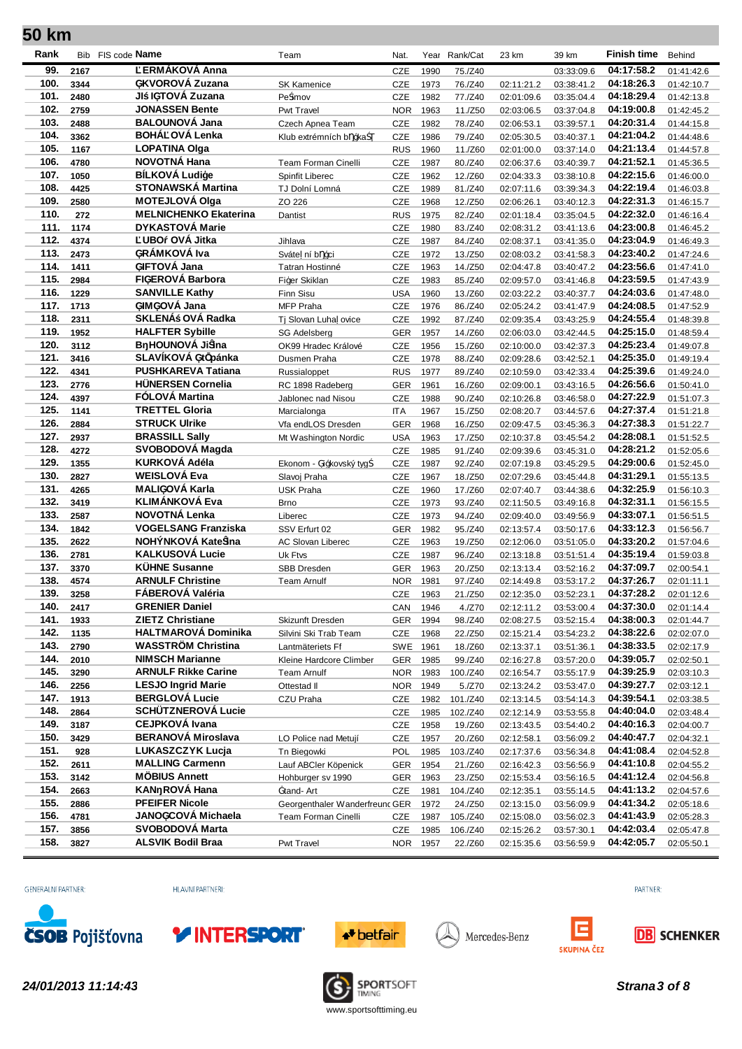| Rank         | Bib          | FIS code Name                                    | Team                                      | Nat.       |                  | Year Rank/Cat      | 23 km                    | 39 km                    | <b>Finish time</b>       | Behind                   |
|--------------|--------------|--------------------------------------------------|-------------------------------------------|------------|------------------|--------------------|--------------------------|--------------------------|--------------------------|--------------------------|
| 99.          | 2167         | ERMÁKOVÁ Anna                                    |                                           | CZE        | 1990             | 75./Z40            |                          | 03:33:09.6               | 04:17:58.2               | 01:41:42.6               |
| 100.         | 3344         | üKVOROVÁ Zuzana                                  | <b>SK Kamenice</b>                        | CZE        | 1973             | 76./Z40            | 02:11:21.2               | 03:38:41.2               | 04:18:26.3               | 01:42:10.7               |
| 101.         | 2480         | JI lüTOVÁ Zuzana                                 | Pe imov                                   | CZE        | 1982             | 77./Z40            | 02:01:09.6               | 03:35:04.4               | 04:18:29.4               | 01:42:13.8               |
| 102.         | 2759         | <b>JONASSEN Bente</b>                            | Pwt Travel                                | <b>NOR</b> | 1963             | 11./Z50            | 02:03:06.5               | 03:37:04.8               | 04:19:00.8               | 01:42:45.2               |
| 103.         | 2488         | <b>BALOUNOVÁ Jana</b>                            | Czech Apnea Team                          | CZE        | 1982             | 78./Z40            | 02:06:53.1               | 03:39:57.1               | 04:20:31.4               | 01:44:15.8               |
| 104.         | 3362         | BOHÁ OVÁ Lenka                                   | Klub extrémních b 0ka                     | CZE        | 1986             | 79./Z40            | 02:05:30.5               | 03:40:37.1               | 04:21:04.2               | 01:44:48.6               |
| 105.         | 1167         | <b>LOPATINA Olga</b>                             |                                           | <b>RUS</b> | 1960             | 11./Z60            | 02:01:00.0               | 03:37:14.0               | 04:21:13.4               | 01:44:57.8               |
| 106.         | 4780         | NOVOTNÁ Hana                                     | Team Forman Cinelli                       | CZE        | 1987             | 80./Z40            | 02:06:37.6               | 03:40:39.7               | 04:21:52.1               | 01:45:36.5               |
| 107.         | 1050         | <b>BÍLKOVÁ Ludiýe</b>                            | Spinfit Liberec                           | CZE        | 1962             | 12./Z60            | 02:04:33.3               | 03:38:10.8               | 04:22:15.6               | 01:46:00.0               |
| 108.         | 4425         | <b>STONAWSKÁ Martina</b>                         | TJ Dolní Lomná                            | CZE        | 1989             | 81./Z40            | 02:07:11.6               | 03:39:34.3               | 04:22:19.4               | 01:46:03.8               |
| 109.         | 2580         | <b>MOTEJLOVÁ Olga</b>                            | ZO 226                                    | CZE        | 1968             | 12./Z50            | 02:06:26.1               | 03:40:12.3               | 04:22:31.3               | 01:46:15.7               |
| 110.<br>111. | 272          | <b>MELNICHENKO Ekaterina</b><br>DYKASTOVÁ Marie  | Dantist                                   | <b>RUS</b> | 1975             | 82./Z40            | 02:01:18.4               | 03:35:04.5               | 04:22:32.0               | 01:46:16.4               |
| 112.         | 1174         | UBO OVÁ Jitka                                    |                                           | CZE        | 1980             | 83./Z40            | 02:08:31.2               | 03:41:13.6               | 04:23:00.8<br>04:23:04.9 | 01:46:45.2               |
| 113.         | 4374<br>2473 | üRÁMKOVÁ Iva                                     | Jihlava                                   | CZE<br>CZE | 1987             | 84./Z40            | 02:08:37.1               | 03:41:35.0               | 04:23:40.2               | 01:46:49.3               |
| 114.         | 1411         | ülFTOVÁ Jana                                     | Sváte ní b 0ci                            | CZE        | 1972<br>1963     | 13./Z50<br>14./Z50 | 02:08:03.2               | 03:41:58.3<br>03:40:47.2 | 04:23:56.6               | 01:47:24.6<br>01:47:41.0 |
| 115.         | 2984         | FlüEROVÁ Barbora                                 | Tatran Hostinné<br>Fizer Skiklan          | CZE        | 1983             | 85./Z40            | 02:04:47.8<br>02:09:57.0 | 03:41:46.8               | 04:23:59.5               | 01:47:43.9               |
| 116.         | 1229         | <b>SANVILLE Kathv</b>                            | Finn Sisu                                 | <b>USA</b> | 1960             | 13./Z60            | 02:03:22.2               | 03:40:37.7               | 04:24:03.6               | 01:47:48.0               |
| 117.         | 1713         | ülMüOVA Jana                                     | <b>MFP Praha</b>                          | CZE        | 1976             | 86./Z40            | 02:05:24.2               | 03:41:47.9               | 04:24:08.5               | 01:47:52.9               |
| 118.         | 2311         | SKLENÁ OVÁ Radka                                 | Tj Slovan Luha ovice                      | CZE        | 1992             | 87./Z40            | 02:09:35.4               | 03:43:25.9               | 04:24:55.4               | 01:48:39.8               |
| 119.         | 1952         | <b>HALFTER Sybille</b>                           | <b>SG Adelsberg</b>                       | <b>GER</b> | 1957             | 14./Z60            | 02:06:03.0               | 03:42:44.5               | 04:25:15.0               | 01:48:59.4               |
| 120.         | 3112         | B HOUNOVÁ Ji ina                                 | OK99 Hradec Králové                       | CZE        | 1956             | 15./Z60            | 02:10:00.0               | 03:42:37.3               | 04:25:23.4               | 01:49:07.8               |
| 121.         | 3416         | SLAVÍKOVÁ üt pánka                               | Dusmen Praha                              | CZE        | 1978             | 88./Z40            | 02:09:28.6               | 03:42:52.1               | 04:25:35.0               | 01:49:19.4               |
| 122.         | 4341         | <b>PUSHKAREVA Tatiana</b>                        | Russialoppet                              | <b>RUS</b> | 1977             | 89./Z40            | 02:10:59.0               | 03:42:33.4               | 04:25:39.6               | 01:49:24.0               |
| 123.         | 2776         | <b>HUNERSEN Cornelia</b>                         | RC 1898 Radeberg                          | <b>GER</b> | 1961             | 16./Z60            | 02:09:00.1               | 03:43:16.5               | 04:26:56.6               | 01:50:41.0               |
| 124.         | 4397         | FÓLOVÁ Martina                                   | Jablonec nad Nisou                        | CZE        | 1988             | 90./Z40            | 02:10:26.8               | 03:46:58.0               | 04:27:22.9               | 01:51:07.3               |
| 125.         | 1141         | <b>TRETTEL Gloria</b>                            | Marcialonga                               | <b>ITA</b> | 1967             | 15./Z50            | 02:08:20.7               | 03:44:57.6               | 04:27:37.4               | 01:51:21.8               |
| 126.         | 2884         | <b>STRUCK Ulrike</b>                             | Vfa endLOS Dresden                        | <b>GER</b> | 1968             | 16./Z50            | 02:09:47.5               | 03:45:36.3               | 04:27:38.3               | 01:51:22.7               |
| 127.         | 2937         | <b>BRASSILL Sally</b>                            | Mt Washington Nordic                      | <b>USA</b> | 1963             | 17./Z50            | 02:10:37.8               | 03:45:54.2               | 04:28:08.1               | 01:51:52.5               |
| 128.         | 4272         | SVOBODOVÁ Magda                                  |                                           | CZE        | 1985             | 91./Z40            | 02:09:39.6               | 03:45:31.0               | 04:28:21.2               | 01:52:05.6               |
| 129.         | 1355         | KURKOVÁ Adéla                                    | Ekonom - ži0kovský tyg                    | CZE        | 1987             | 92./Z40            | 02:07:19.8               | 03:45:29.5               | 04:29:00.6               | 01:52:45.0               |
| 130.         | 2827         | <b>WEISLOVÁ Eva</b>                              | Slavoj Praha                              | <b>CZE</b> | 1967             | 18./Z50            | 02:07:29.6               | 03:45:44.8               | 04:31:29.1               | 01:55:13.5               |
| 131.         | 4265         | <b>MALIüOVÁ Karla</b>                            | <b>USK Praha</b>                          | <b>CZE</b> | 1960             | 17./Z60            | 02:07:40.7               | 03:44:38.6               | 04:32:25.9               | 01:56:10.3               |
| 132.         | 3419         | <b>KLIMÁNKOVÁ Eva</b>                            | <b>Brno</b>                               | CZE        | 1973             | 93./Z40            | 02:11:50.5               | 03:49:16.8               | 04:32:31.1               | 01:56:15.5               |
| 133.         | 2587         | <b>NOVOTNA Lenka</b>                             | Liberec                                   | CZE        | 1973             | 94./Z40            | 02:09:40.0               | 03:49:56.9               | 04:33:07.1               | 01:56:51.5               |
| 134.         | 1842         | <b>VOGELSANG Franziska</b>                       | SSV Erfurt 02                             | <b>GER</b> | 1982             | 95./Z40            | 02:13:57.4               | 03:50:17.6               | 04:33:12.3               | 01:56:56.7               |
| 135.         | 2622         | NOHÝNKOVÁ Kate ina                               | <b>AC Slovan Liberec</b>                  | <b>CZE</b> | 1963             | 19./Z50            | 02:12:06.0               | 03:51:05.0               | 04:33:20.2               | 01:57:04.6               |
| 136.         | 2781         | <b>KALKUSOVÁ Lucie</b>                           | Uk Ftvs                                   | CZE        | 1987             | 96./Z40            | 02:13:18.8               | 03:51:51.4               | 04:35:19.4               | 01:59:03.8               |
| 137.         | 3370         | <b>KÜHNE Susanne</b>                             | <b>SBB Dresden</b>                        | <b>GER</b> | 1963             | 20./Z50            | 02:13:13.4               | 03:52:16.2               | 04:37:09.7               | 02:00:54.1               |
| 138.         | 4574         | <b>ARNULF Christine</b>                          | Team Arnulf                               | <b>NOR</b> | 1981             | 97./Z40            | 02:14:49.8               | 03:53:17.2               | 04:37:26.7               | 02:01:11.1               |
| 139.         | 3258         | FÁBEROVÁ Valéria                                 |                                           | CZE        | 1963             | 21./Z50            | 02:12:35.0               | 03:52:23.1               | 04:37:28.2               | 02:01:12.6               |
| 140.<br>141. | 2417         | <b>GRENIER Daniel</b><br><b>ZIETZ Christiane</b> |                                           | CAN        | 1946             | 4./Z70             | 02:12:11.2               | 03:53:00.4               | 04:37:30.0<br>04:38:00.3 | 02:01:14.4               |
| 142.         | 1933         | <b>HALTMAROVÁ Dominika</b>                       | Skizunft Dresden<br>Silvini Ski Trab Team | GER        | 1994             | 98./Z40            | 02:08:27.5               | 03:52:15.4               | 04:38:22.6               | 02:01:44.7               |
| 143.         | 1135<br>2790 | <b>WASSTRÖM Christina</b>                        | Lantmäteriets Ff                          | <b>CZE</b> | 1968<br>SWE 1961 | 22./Z50<br>18./Z60 | 02:15:21.4               | 03:54:23.2<br>03:51:36.1 | 04:38:33.5               | 02:02:07.0               |
| 144.         | 2010         | <b>NIMSCH Marianne</b>                           | Kleine Hardcore Climber                   | <b>GER</b> | 1985             | 99./Z40            | 02:13:37.1<br>02:16:27.8 | 03:57:20.0               | 04:39:05.7               | 02:02:17.9<br>02:02:50.1 |
| 145.         | 3290         | <b>ARNULF Rikke Carine</b>                       | Team Arnulf                               | <b>NOR</b> | 1983             | 100./Z40           | 02:16:54.7               | 03:55:17.9               | 04:39:25.9               | 02:03:10.3               |
| 146.         | 2256         | <b>LESJO Ingrid Marie</b>                        | Ottestad II                               | <b>NOR</b> | 1949             | 5./Z70             | 02:13:24.2               | 03:53:47.0               | 04:39:27.7               | 02:03:12.1               |
| 147.         | 1913         | <b>BERGLOVÁ Lucie</b>                            | CZU Praha                                 | <b>CZE</b> | 1982             | 101./Z40           | 02:13:14.5               | 03:54:14.3               | 04:39:54.1               | 02:03:38.5               |
| 148.         | 2864         | <b>SCHÜTZNEROVÁ Lucie</b>                        |                                           | <b>CZE</b> | 1985             | 102./Z40           | 02:12:14.9               | 03:53:55.8               | 04:40:04.0               | 02:03:48.4               |
| 149.         | 3187         | <b>CEJPKOVÁ Ivana</b>                            |                                           | CZE        | 1958             | 19./Z60            | 02:13:43.5               | 03:54:40.2               | 04:40:16.3               | 02:04:00.7               |
| 150.         | 3429         | <b>BERANOVÁ Miroslava</b>                        | LO Police nad Metují                      | <b>CZE</b> | 1957             | 20./Z60            | 02:12:58.1               | 03:56:09.2               | 04:40:47.7               | 02:04:32.1               |
| 151.         | 928          | <b>LUKASZCZYK Lucja</b>                          | Tn Biegowki                               | POL        | 1985             | 103./Z40           | 02:17:37.6               | 03:56:34.8               | 04:41:08.4               | 02:04:52.8               |
| 152.         | 2611         | <b>MALLING Carmenn</b>                           | Lauf ABCler Köpenick                      | <b>GER</b> | 1954             | 21./Z60            | 02:16:42.3               | 03:56:56.9               | 04:41:10.8               | 02:04:55.2               |
| 153.         | 3142         | <b>MÖBIUS Annett</b>                             | Hohburger sv 1990                         | <b>GER</b> | 1963             | 23./Z50            | 02:15:53.4               | 03:56:16.5               | 04:41:12.4               | 02:04:56.8               |
| 154.         | 2663         | KAN ROVÁ Hana                                    | ¥tand- Art                                | <b>CZE</b> | 1981             | 104./Z40           | 02:12:35.1               | 03:55:14.5               | 04:41:13.2               | 02:04:57.6               |
| 155.         | 2886         | <b>PFEIFER Nicole</b>                            | Georgenthaler Wanderfreund GER            |            | 1972             | 24./Z50            | 02:13:15.0               | 03:56:09.9               | 04:41:34.2               | 02:05:18.6               |
| 156.         | 4781         | JANOüCOVÁ Michaela                               | Team Forman Cinelli                       | <b>CZE</b> | 1987             | 105./Z40           | 02:15:08.0               | 03:56:02.3               | 04:41:43.9               | 02:05:28.3               |
| 157.         | 3856         | <b>SVOBODOVÁ Marta</b>                           |                                           | CZE        | 1985             | 106./Z40           | 02:15:26.2               | 03:57:30.1               | 04:42:03.4               | 02:05:47.8               |
| 158.         | 3827         | <b>ALSVIK Bodil Braa</b>                         | Pwt Travel                                | NOR 1      | 1957             | 22./Z60            | 02:15:35.6               | 03:56:59.9               | 04:42:05.7               | 02:05:50.1               |
|              |              |                                                  |                                           |            |                  |                    |                          |                          |                          |                          |

GENERÁLNÍ PARTNER:

HLAVNÍ PARTNEŘI:







Mercedes-Benz





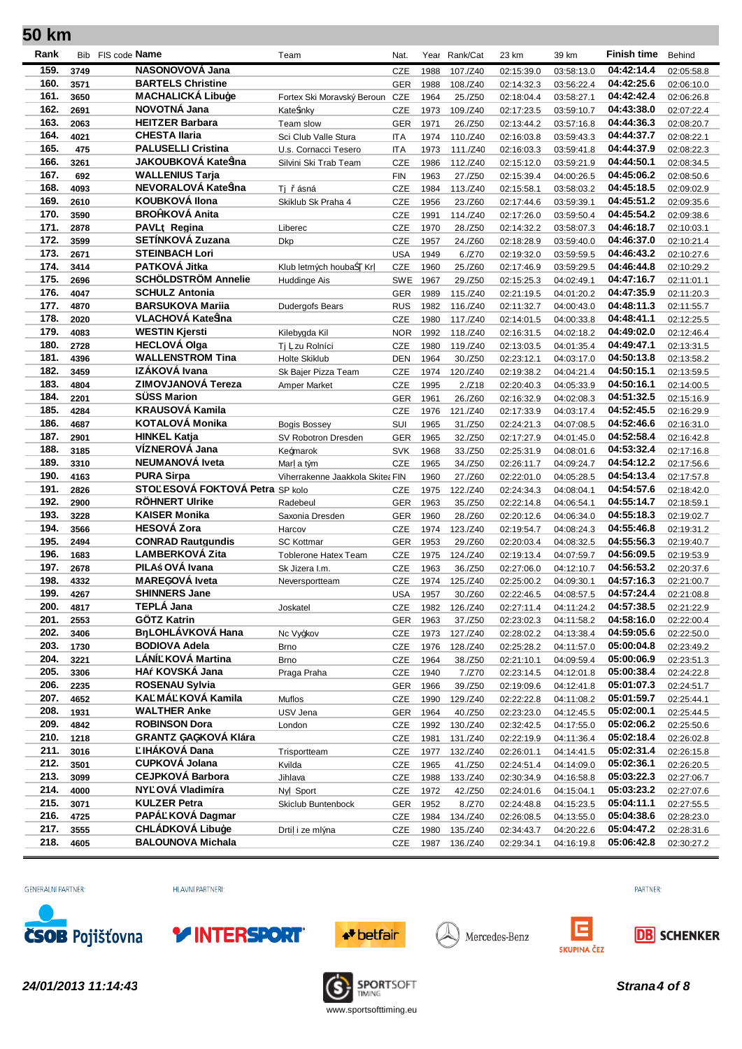| Rank         |              | Bib FIS code <b>Name</b>                             | Team                             | Nat.                     | Year         | Rank/Cat           | 23 km                    | 39 km                    | Finish time              | Behind                   |
|--------------|--------------|------------------------------------------------------|----------------------------------|--------------------------|--------------|--------------------|--------------------------|--------------------------|--------------------------|--------------------------|
| 159.         | 3749         | NASONOVOVÁ Jana                                      |                                  | <b>CZE</b>               | 1988         | 107./Z40           | 02:15:39.0               | 03:58:13.0               | 04:42:14.4               | 02:05:58.8               |
| 160.         | 3571         | <b>BARTELS Christine</b>                             |                                  | <b>GER</b>               | 1988         | 108./Z40           | 02:14:32.3               | 03:56:22.4               | 04:42:25.6               | 02:06:10.0               |
| 161.         | 3650         | <b>MACHALICKÁ Libuýe</b>                             | Fortex Ski Moravský Beroun       | CZE                      | 1964         | 25./Z50            | 02:18:04.4               | 03:58:27.1               | 04:42:42.4               | 02:06:26.8               |
| 162.         | 2691         | NOVOTNÁ Jana                                         | Kate inky                        | CZE                      | 1973         | 109./Z40           | 02:17:23.5               | 03:59:10.7               | 04:43:38.0               | 02:07:22.4               |
| 163.         | 2063         | <b>HEITZER Barbara</b>                               | Team slow                        | <b>GER</b>               | 1971         | 26./Z50            | 02:13:44.2               | 03:57:16.8               | 04:44:36.3               | 02:08:20.7               |
| 164.         | 4021         | <b>CHESTA Ilaria</b>                                 | Sci Club Valle Stura             | <b>ITA</b>               | 1974         | 110./Z40           | 02:16:03.8               | 03:59:43.3               | 04:44:37.7               | 02:08:22.1               |
| 165.         | 475          | <b>PALUSELLI Cristina</b>                            | U.s. Cornacci Tesero             | <b>ITA</b>               | 1973         | 111./Z40           | 02:16:03.3               | 03:59:41.8               | 04:44:37.9               | 02:08:22.3               |
| 166.         | 3261         | JAKOUBKOVÁ Kate ina                                  | Silvini Ski Trab Team            | CZE                      | 1986         | 112./Z40           | 02:15:12.0               | 03:59:21.9               | 04:44:50.1               | 02:08:34.5               |
| 167.         | 692          | <b>WALLENIUS Tarja</b>                               |                                  | <b>FIN</b>               | 1963         | 27./Z50            | 02:15:39.4               | 04:00:26.5               | 04:45:06.2               | 02:08:50.6               |
| 168.         | 4093         | NEVORALOVÁ Kate ina                                  | Ti<br>ásná                       | <b>CZE</b>               | 1984         | 113./Z40           | 02:15:58.1               | 03:58:03.2               | 04:45:18.5               | 02:09:02.9               |
| 169.         | 2610         | <b>KOUBKOVÁ Ilona</b>                                | Skiklub Sk Praha 4               | CZE                      | 1956         | 23./Z60            | 02:17:44.6               | 03:59:39.1               | 04:45:51.2               | 02:09:35.6               |
| 170.         | 3590         | <b>BRObKOVÁ Anita</b>                                |                                  | CZE                      | 1991         | 114./Z40           | 02:17:26.0               | 03:59:50.4               | 04:45:54.2               | 02:09:38.6               |
| 171.         | 2878         | PAVL Regina                                          | Liberec                          | <b>CZE</b>               | 1970         | 28./Z50            | 02:14:32.2               | 03:58:07.3               | 04:46:18.7               | 02:10:03.1               |
| 172.         | 3599         | SETÍNKOVÁ Zuzana                                     | <b>Dkp</b>                       | <b>CZE</b>               | 1957         | 24./Z60            | 02:18:28.9               | 03:59:40.0               | 04:46:37.0               | 02:10:21.4               |
| 173.         | 2671         | <b>STEINBACH Lori</b>                                |                                  | <b>USA</b>               | 1949         | 6./Z70             | 02:19:32.0               | 03:59:59.5               | 04:46:43.2               | 02:10:27.6               |
| 174.         | 3414         | PATKOVÁ Jitka                                        | Klub letmých houba<br>Кr         | CZE                      | 1960         | 25./Z60            | 02:17:46.9               | 03:59:29.5               | 04:46:44.8               | 02:10:29.2               |
| 175.         | 2696         | <b>SCHÖLDSTRÖM Annelie</b>                           | Huddinge Ais                     | <b>SWE</b>               | 1967         | 29./Z50            | 02:15:25.3               | 04:02:49.1               | 04:47:16.7               | 02:11:01.1               |
| 176.         | 4047         | <b>SCHULZ Antonia</b>                                |                                  | <b>GER</b>               | 1989         | 115./Z40           | 02:21:19.5               | 04:01:20.2               | 04:47:35.9               | 02:11:20.3               |
| 177.         | 4870         | <b>BARSUKOVA Marija</b>                              | Dudergofs Bears                  | <b>RUS</b>               | 1982         | 116./Z40           | 02:11:32.7               | 04:00:43.0               | 04:48:11.3               | 02:11:55.7               |
| 178.         | 2020         | VLACHOVÁ Kate ina                                    |                                  | CZE                      | 1980         | 117./Z40           | 02:14:01.5               | 04:00:33.8               | 04:48:41.1               | 02:12:25.5               |
| 179.         | 4083         | <b>WESTIN Kjersti</b>                                | Kilebygda Kil                    | <b>NOR</b>               | 1992         | 118./Z40           | 02:16:31.5               | 04:02:18.2               | 04:49:02.0               | 02:12:46.4               |
| 180.         | 2728         | <b>HECLOVÁ Olga</b>                                  | Ti zu Rolníci                    | <b>CZE</b>               | 1980         | 119./Z40           | 02:13:03.5               | 04:01:35.4               | 04:49:47.1               | 02:13:31.5               |
| 181.         | 4396         | <b>WALLENSTROM Tina</b>                              | Holte Skiklub                    | DEN                      | 1964         | 30./Z50            | 02:23:12.1               | 04:03:17.0               | 04:50:13.8               | 02:13:58.2               |
| 182.         | 3459         | IZÁKOVÁ Ivana                                        | Sk Baier Pizza Team              | <b>CZE</b>               | 1974         | 120./Z40           | 02:19:38.2               | 04:04:21.4               | 04:50:15.1               | 02:13:59.5               |
| 183.         | 4804         | <b>ZIMOVJANOVÁ Tereza</b>                            | Amper Market                     | CZE                      | 1995         | 2./Z18             | 02:20:40.3               | 04:05:33.9               | 04:50:16.1               | 02:14:00.5               |
| 184.         | 2201         | <b>SÜSS Marion</b>                                   |                                  | <b>GER</b>               | 1961         | 26./Z60            | 02:16:32.9               | 04:02:08.3               | 04:51:32.5               | 02:15:16.9               |
| 185.         | 4284         | <b>KRAUSOVÁ Kamila</b>                               |                                  | CZE                      | 1976         | 121./Z40           | 02:17:33.9               | 04:03:17.4               | 04:52:45.5               | 02:16:29.9               |
| 186.         | 4687         | KOTALOVÁ Monika                                      | <b>Bogis Bossey</b>              | SUI                      | 1965         | 31./Z50            | 02:24:21.3               | 04:07:08.5               | 04:52:46.6               | 02:16:31.0               |
| 187.         | 2901         | <b>HINKEL Katja</b>                                  | SV Robotron Dresden              | <b>GER</b>               | 1965         | 32./Z50            | 02:17:27.9               | 04:01:45.0               | 04:52:58.4               | 02:16:42.8               |
| 188.         | 3185         | VÍZNEROVÁ Jana                                       | Ke0marok                         | <b>SVK</b>               | 1968         | 33./Z50            | 02:25:31.9               | 04:08:01.6               | 04:53:32.4               | 02:17:16.8               |
| 189.         | 3310         | NEUMANOVÁ Iveta                                      | Mar a tým                        | CZE                      | 1965         | 34./Z50            | 02:26:11.7               | 04:09:24.7               | 04:54:12.2               | 02:17:56.6               |
| 190.<br>191. | 4163         | <b>PURA Sirpa</b><br>STO ESOVÁ FOKTOVÁ Petra SP kolo | Viherrakenne Jaakkola Skite: FIN |                          | 1960         | 27./Z60            | 02:22:01.0               | 04:05:28.5               | 04:54:13.4<br>04:54:57.6 | 02:17:57.8               |
| 192.         | 2826         | <b>RÖHNERT Ulrike</b>                                |                                  | <b>CZE</b>               | 1975         | 122./Z40           | 02:24:34.3               | 04:08:04.1               | 04:55:14.7               | 02:18:42.0               |
| 193.         | 2900<br>3228 | <b>KAISER Monika</b>                                 | Radebeul<br>Saxonia Dresden      | <b>GER</b><br><b>GER</b> | 1963<br>1960 | 35./Z50<br>28./Z60 | 02:22:14.8               | 04:06:54.1<br>04:06:34.0 | 04:55:18.3               | 02:18:59.1<br>02:19:02.7 |
| 194.         | 3566         | <b>HESOVÁ Zora</b>                                   | Harcov                           | <b>CZE</b>               | 1974         | 123./Z40           | 02:20:12.6<br>02:19:54.7 | 04:08:24.3               | 04:55:46.8               | 02:19:31.2               |
| 195.         | 2494         | <b>CONRAD Rautgundis</b>                             | <b>SC Kottmar</b>                | <b>GER</b>               | 1953         | 29./Z60            | 02:20:03.4               | 04:08:32.5               | 04:55:56.3               | 02:19:40.7               |
| 196.         | 1683         | <b>LAMBERKOVÁ Zita</b>                               | <b>Toblerone Hatex Team</b>      | CZE                      | 1975         | 124./Z40           | 02:19:13.4               | 04:07:59.7               | 04:56:09.5               | 02:19:53.9               |
| 197.         | 2678         | PILA OVÁ Ivana                                       | Sk Jizera I.m.                   | CZE                      | 1963         | 36./Z50            | 02:27:06.0               | 04:12:10.7               | 04:56:53.2               | 02:20:37.6               |
| 198.         | 4332         | MAREüOVÁ Iveta                                       | Neversportteam                   | <b>CZE</b>               | 1974         | 125./Z40           | 02:25:00.2               | 04:09:30.1               | 04:57:16.3               | 02:21:00.7               |
| 199.         | 4267         | <b>SHINNERS Jane</b>                                 |                                  | <b>USA</b>               | 1957         | 30./Z60            | 02:22:46.5               | 04:08:57.5               | 04:57:24.4               | 02:21:08.8               |
| 200.         | 4817         | TEPLÁ Jana                                           | Joskatel                         | CZE                      | 1982         | 126./Z40           | 02:27:11.4               | 04:11:24.2               | 04:57:38.5               | 02:21:22.9               |
| 201.         | 2553         | <b>GÖTZ Katrin</b>                                   |                                  | <b>GER</b>               | 1963         | 37./Z50            | 02:23:02.3               | 04:11:58.2               | 04:58:16.0               | 02:22:00.4               |
| 202.         | 3406         | <b>B LOHLÁVKOVÁ Hana</b>                             | Nc Vyzkov                        | CZE                      | 1973         | 127./Z40           | 02:28:02.2               | 04:13:38.4               | 04:59:05.6               | 02:22:50.0               |
| 203.         | 1730         | <b>BODIOVA Adela</b>                                 | Brno                             | CZE                      | 1976         | 128./Z40           | 02:25:28.2               | 04:11:57.0               | 05:00:04.8               | 02:23:49.2               |
| 204.         | 3221         | LÁNÍ KOVÁ Martina                                    | <b>Brno</b>                      | <b>CZE</b>               | 1964         | 38./Z50            | 02:21:10.1               | 04:09:59.4               | 05:00:06.9               | 02:23:51.3               |
| 205.         | 3306         | HA KOVSKÁ Jana                                       | Praga Praha                      | <b>CZE</b>               | 1940         | 7./Z70             | 02:23:14.5               | 04:12:01.8               | 05:00:38.4               | 02:24:22.8               |
| 206.         | 2235         | <b>ROSENAU Sylvia</b>                                |                                  | <b>GER</b>               | 1966         | 39./Z50            | 02:19:09.6               | 04:12:41.8               | 05:01:07.3               | 02:24:51.7               |
| 207.         | 4652         | KA MÁ KOVÁ Kamila                                    | Muflos                           | <b>CZE</b>               | 1990         | 129./Z40           | 02:22:22.8               | 04:11:08.2               | 05:01:59.7               | 02:25:44.1               |
| 208.         | 1931         | <b>WALTHER Anke</b>                                  | USV Jena                         | <b>GER</b>               | 1964         | 40./Z50            | 02:23:23.0               | 04:12:45.5               | 05:02:00.1               | 02:25:44.5               |
| 209.         | 4842         | <b>ROBINSON Dora</b>                                 | London                           | <b>CZE</b>               | 1992         | 130./Z40           | 02:32:42.5               | 04:17:55.0               | 05:02:06.2               | 02:25:50.6               |
| 210.         | 1218         | <b>GRANTZ üAüKOVÁ Klára</b>                          |                                  | CZE                      | 1981         | 131./Z40           | 02:22:19.9               | 04:11:36.4               | 05:02:18.4               | 02:26:02.8               |
| 211.         | 3016         | <b>IHÁKOVÁ Dana</b>                                  | Trisportteam                     | CZE                      | 1977         | 132./Z40           | 02:26:01.1               | 04:14:41.5               | 05:02:31.4               | 02:26:15.8               |
| 212.         | 3501         | <b>CUPKOVÁ Jolana</b>                                | Kvilda                           | <b>CZE</b>               | 1965         | 41./Z50            | 02:24:51.4               | 04:14:09.0               | 05:02:36.1               | 02:26:20.5               |
| 213.         | 3099         | <b>CEJPKOVÁ Barbora</b>                              | Jihlava                          | CZE                      | 1988         | 133./Z40           | 02:30:34.9               | 04:16:58.8               | 05:03:22.3               | 02:27:06.7               |
| 214.         | 4000         | NY OVÁ Vladimíra                                     | Ny Sport                         | CZE                      | 1972         | 42./Z50            | 02:24:01.6               | 04:15:04.1               | 05:03:23.2               | 02:27:07.6               |
| 215.         | 3071         | <b>KULZER Petra</b>                                  | Skiclub Buntenbock               | <b>GER</b>               | 1952         | 8./Z70             | 02:24:48.8               | 04:15:23.5               | 05:04:11.1               | 02:27:55.5               |
| 216.         | 4725         | PAPÁ KOVÁ Dagmar                                     |                                  | <b>CZE</b>               | 1984         | 134./Z40           | 02:26:08.5               | 04:13:55.0               | 05:04:38.6               | 02:28:23.0               |
| 217.         | 3555         | <b>CHLÁDKOVÁ Libuýe</b>                              | Drti i ze mlýna                  | CZE                      | 1980         | 135./Z40           | 02:34:43.7               | 04:20:22.6               | 05:04:47.2               | 02:28:31.6               |
| 218.         | 4605         | <b>BALOUNOVA Michala</b>                             |                                  | CZE                      | 1987         | 136./Z40           | 02:29:34.1               | 04:16:19.8               | 05:06:42.8               | 02:30:27.2               |

GENERÁLNÍ PARTNER:

HLAVNÍ PARTNEŘI:







Mercedes-Benz





**24/01/2013 11:14:43 Strana4 of 8 SPORTSOFT SPORTSOFT Strana4 of 8 Strana4 of 8** 

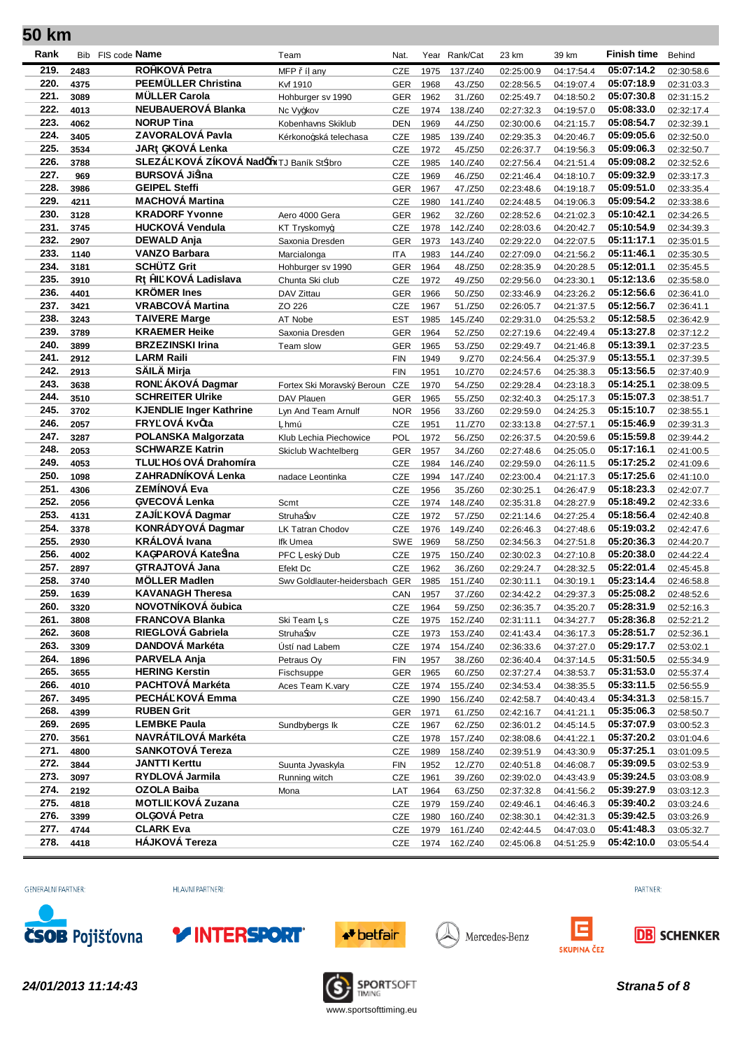| Rank         |              | Bib FIS code <b>Name</b>                   | Team                       | Nat.              | Year         | Rank/Cat           | 23 km                    | 39 km                    | <b>Finish time</b>       | Behind                   |
|--------------|--------------|--------------------------------------------|----------------------------|-------------------|--------------|--------------------|--------------------------|--------------------------|--------------------------|--------------------------|
| 219.         | 2483         | RObKOVÁ Petra                              | MFP í any                  | <b>CZE</b>        | 1975         | 137./Z40           | 02:25:00.9               | 04:17:54.4               | 05:07:14.2               | 02:30:58.6               |
| 220.         | 4375         | PEEMÜLLER Christina                        | Kvf 1910                   | <b>GER</b>        | 1968         | 43./Z50            | 02:28:56.5               | 04:19:07.4               | 05:07:18.9               | 02:31:03.3               |
| 221.         | 3089         | <b>MÜLLER Carola</b>                       | Hohburger sv 1990          | <b>GER</b>        | 1962         | 31./Z60            | 02:25:49.7               | 04:18:50.2               | 05:07:30.8               | 02:31:15.2               |
| 222.         | 4013         | <b>NEUBAUEROVÁ Blanka</b>                  | Nc Vyzkov                  | CZE               | 1974         | 138./Z40           | 02:27:32.3               | 04:19:57.0               | 05:08:33.0               | 02:32:17.4               |
| 223.         | 4062         | <b>NORUP Tina</b>                          | Kobenhavns Skiklub         | DEN               | 1969         | 44./Z50            | 02:30:00.6               | 04:21:15.7               | 05:08:54.7               | 02:32:39.1               |
| 224.         | 3405         | ZAVORALOVÁ Pavla                           | Kérkonozská telechasa      | CZE               | 1985         | 139./Z40           | 02:29:35.3               | 04:20:46.7               | 05:09:05.6               | 02:32:50.0               |
| 225.         | 3534         | JAR üKOVÁ Lenka                            |                            | CZE               | 1972         | 45./Z50            | 02:26:37.7               | 04:19:56.3               | 05:09:06.3               | 02:32:50.7               |
| 226.         | 3788         | SLEZÁ KOVÁ ZÍKOVÁ Nad ÿtTJ Baník St íbro   |                            | CZE               | 1985         | 140./Z40           | 02:27:56.4               | 04:21:51.4               | 05:09:08.2               | 02:32:52.6               |
| 227.         | 969          | <b>BURSOVÁ Ji ina</b>                      |                            | CZE               | 1969         | 46./Z50            | 02:21:46.4               | 04:18:10.7               | 05:09:32.9               | 02:33:17.3               |
| 228.         | 3986         | <b>GEIPEL Steffi</b>                       |                            | <b>GER</b>        | 1967         | 47./Z50            | 02:23:48.6               | 04:19:18.7               | 05:09:51.0               | 02:33:35.4               |
| 229.         | 4211         | <b>MACHOVÁ Martina</b>                     |                            | CZE               | 1980         | 141./Z40           | 02:24:48.5               | 04:19:06.3               | 05:09:54.2               | 02:33:38.6               |
| 230.         | 3128         | <b>KRADORF Yvonne</b>                      | Aero 4000 Gera             | <b>GER</b>        | 1962         | 32./Z60            | 02:28:52.6               | 04:21:02.3               | 05:10:42.1               | 02:34:26.5               |
| 231.         | 3745         | <b>HUCKOVÁ Vendula</b>                     | <b>KT Tryskomyz</b>        | <b>CZE</b>        | 1978         | 142./Z40           | 02:28:03.6               | 04:20:42.7               | 05:10:54.9               | 02:34:39.3               |
| 232.         | 2907         | <b>DEWALD Anja</b><br><b>VANZO Barbara</b> | Saxonia Dresden            | <b>GER</b>        | 1973         | 143./Z40           | 02:29:22.0               | 04:22:07.5               | 05:11:17.1               | 02:35:01.5               |
| 233.<br>234. | 1140         | <b>SCHÜTZ Grit</b>                         | Marcialonga                | <b>ITA</b>        | 1983         | 144./Z40           | 02:27:09.0               | 04:21:56.2               | 05:11:46.1<br>05:12:01.1 | 02:35:30.5               |
|              | 3181         |                                            | Hohburger sv 1990          | <b>GER</b>        | 1964         | 48./Z50            | 02:28:35.9               | 04:20:28.5               |                          | 02:35:45.5               |
| 235.<br>236. | 3910         | R þI KOVÁ Ladislava<br><b>KRÖMER Ines</b>  | Chunta Ski club            | <b>CZE</b>        | 1972         | 49./Z50            | 02:29:56.0               | 04:23:30.1               | 05:12:13.6<br>05:12:56.6 | 02:35:58.0               |
| 237.         | 4401<br>3421 | <b>VRABCOVÁ Martina</b>                    | DAV Zittau<br>ZO 226       | <b>GER</b><br>CZE | 1966<br>1967 | 50./Z50<br>51./Z50 | 02:33:46.9<br>02:26:05.7 | 04:23:26.2<br>04:21:37.5 | 05:12:56.7               | 02:36:41.0<br>02:36:41.1 |
| 238.         | 3243         | <b>TAIVERE Marge</b>                       | AT Nobe                    | <b>EST</b>        | 1985         | 145./Z40           | 02:29:31.0               | 04:25:53.2               | 05:12:58.5               | 02:36:42.9               |
| 239.         | 3789         | <b>KRAEMER Heike</b>                       | Saxonia Dresden            | <b>GER</b>        | 1964         |                    |                          |                          | 05:13:27.8               |                          |
| 240.         | 3899         | <b>BRZEZINSKI Irina</b>                    | Team slow                  | <b>GER</b>        | 1965         | 52./Z50<br>53./Z50 | 02:27:19.6<br>02:29:49.7 | 04:22:49.4<br>04:21:46.8 | 05:13:39.1               | 02:37:12.2<br>02:37:23.5 |
| 241.         | 2912         | <b>LARM Raili</b>                          |                            | <b>FIN</b>        | 1949         | 9./Z70             | 02:24:56.4               | 04:25:37.9               | 05:13:55.1               | 02:37:39.5               |
| 242.         | 2913         | SÄILÄ Mirja                                |                            | <b>FIN</b>        | 1951         | 10./Z70            | 02:24:57.6               | 04:25:38.3               | 05:13:56.5               | 02:37:40.9               |
| 243.         | 3638         | RON ÁKOVÁ Dagmar                           | Fortex Ski Moravský Beroun | CZE               | 1970         | 54./Z50            | 02:29:28.4               | 04:23:18.3               | 05:14:25.1               | 02:38:09.5               |
| 244.         | 3510         | <b>SCHREITER Ulrike</b>                    | DAV Plauen                 | <b>GER</b>        | 1965         | 55./Z50            | 02:32:40.3               | 04:25:17.3               | 05:15:07.3               | 02:38:51.7               |
| 245.         | 3702         | <b>KJENDLIE Inger Kathrine</b>             | Lyn And Team Arnulf        | <b>NOR</b>        | 1956         | 33./Z60            | 02:29:59.0               | 04:24:25.3               | 05:15:10.7               | 02:38:55.1               |
| 246.         | 2057         | FRY OVÁ Kv ta                              | hmú                        | CZE               | 1951         | 11./Z70            | 02:33:13.8               | 04:27:57.1               | 05:15:46.9               | 02:39:31.3               |
| 247.         | 3287         | <b>POLANSKA Malgorzata</b>                 | Klub Lechia Piechowice     | POL               | 1972         | 56./Z50            | 02:26:37.5               | 04:20:59.6               | 05:15:59.8               | 02:39:44.2               |
| 248.         | 2053         | <b>SCHWARZE Katrin</b>                     | Skiclub Wachtelberg        | <b>GER</b>        | 1957         | 34./Z60            | 02:27:48.6               | 04:25:05.0               | 05:17:16.1               | 02:41:00.5               |
| 249.         | 4053         | TLU HO OVÁ Drahomíra                       |                            | CZE               | 1984         | 146./Z40           | 02:29:59.0               | 04:26:11.5               | 05:17:25.2               | 02:41:09.6               |
| 250.         | 1098         | ZAHRADNÍKOVÁ Lenka                         | nadace Leontinka           | CZE               | 1994         | 147./Z40           | 02:23:00.4               | 04:21:17.3               | 05:17:25.6               | 02:41:10.0               |
| 251.         | 4306         | ZEMÍNOVÁ Eva                               |                            | <b>CZE</b>        | 1956         | 35./Z60            | 02:30:25.1               | 04:26:47.9               | 05:18:23.3               | 02:42:07.7               |
| 252.         | 2056         | üVECOVÁ Lenka                              | Scmt                       | CZE               | 1974         | 148./Z40           | 02:35:31.8               | 04:28:27.9               | 05:18:49.2               | 02:42:33.6               |
| 253.         | 4131         | ZAJÍ KOVÁ Dagmar                           | Struha ov                  | CZE               | 1972         | 57./Z50            | 02:21:14.6               | 04:27:25.4               | 05:18:56.4               | 02:42:40.8               |
| 254.         | 3378         | KONRÁDYOVÁ Dagmar                          | <b>LK Tatran Chodov</b>    | <b>CZE</b>        | 1976         | 149./Z40           | 02:26:46.3               | 04:27:48.6               | 05:19:03.2               | 02:42:47.6               |
| 255.         | 2930         | <b>KRÁLOVÁ Ivana</b>                       | Ifk Umea                   | <b>SWE</b>        | 1969         | 58./Z50            | 02:34:56.3               | 04:27:51.8               | 05:20:36.3               | 02:44:20.7               |
| 256.         | 4002         | KAüPAROVÁ Kate ina                         | PFC eský Dub               | CZE               | 1975         | 150./Z40           | 02:30:02.3               | 04:27:10.8               | 05:20:38.0               | 02:44:22.4               |
| 257.         | 2897         | üTRAJTOVA Jana                             | Efekt Dc                   | <b>CZE</b>        | 1962         | 36./Z60            | 02:29:24.7               | 04:28:32.5               | 05:22:01.4               | 02:45:45.8               |
| 258.         | 3740         | <b>MOLLER Madlen</b>                       | Swy Goldlauter-heidersbach | <b>GER</b>        | 1985         | 151./Z40           | 02:30:11.1               | 04:30:19.1               | 05:23:14.4               | 02:46:58.8               |
| 259.         | 1639         | <b>KAVANAGH Theresa</b>                    |                            | CAN               | 1957         | 37./Z60            | 02:34:42.2               | 04:29:37.3               | 05:25:08.2               | 02:48:52.6               |
| 260.         | 3320         | NOVOTNÍKOVÁ ubica                          |                            | <b>CZE</b>        | 1964         | 59./Z50            | 02:36:35.7               | 04:35:20.7               | 05:28:31.9               | 02:52:16.3               |
| 261.         | 3808         | <b>FRANCOVA Blanka</b>                     | Ski Team s                 | <b>CZE</b>        | 1975         | 152./Z40           | 02:31:11.1               | 04:34:27.7               | 05:28:36.8               | 02:52:21.2               |
| 262.         | 3608         | RIEGLOVÁ Gabriela                          | Struha ov                  | CZE               | 1973         | 153./Z40           | 02:41:43.4               | 04:36:17.3               | 05:28:51.7               | 02:52:36.1               |
| 263.         | 3309         | DANDOVÁ Markéta                            | Ústí nad Labem             | <b>CZE</b>        | 1974         | 154./Z40           | 02:36:33.6               | 04:37:27.0               | 05:29:17.7               | 02:53:02.1               |
| 264.         | 1896         | PARVELA Anja                               | Petraus Oy                 | <b>FIN</b>        | 1957         | 38./Z60            | 02:36:40.4               | 04:37:14.5               | 05:31:50.5               | 02:55:34.9               |
| 265.         | 3655         | <b>HERING Kerstin</b>                      | Fischsuppe                 | <b>GER</b>        | 1965         | 60./Z50            | 02:37:27.4               | 04:38:53.7               | 05:31:53.0               | 02:55:37.4               |
| 266.         | 4010         | PACHTOVÁ Markéta                           | Aces Team K.vary           | <b>CZE</b>        | 1974         | 155./Z40           | 02:34:53.4               | 04:38:35.5               | 05:33:11.5               | 02:56:55.9               |
| 267.         | 3495         | PECHÁ KOVÁ Emma                            |                            | <b>CZE</b>        | 1990         | 156./Z40           | 02:42:58.7               | 04:40:43.4               | 05:34:31.3               | 02:58:15.7               |
| 268.         | 4399         | <b>RUBEN Grit</b>                          |                            | <b>GER</b>        | 1971         | 61./Z50            | 02:42:16.7               | 04:41:21.1               | 05:35:06.3               | 02:58:50.7               |
| 269.         | 2695         | <b>LEMBKE Paula</b><br>NAVRÁTILOVÁ Markéta | Sundbybergs Ik             | <b>CZE</b>        | 1967         | 62./Z50            | 02:36:01.2               | 04:45:14.5               | 05:37:07.9               | 03:00:52.3               |
| 270.         | 3561         |                                            |                            | <b>CZE</b>        | 1978         | 157./Z40           | 02:38:08.6               | 04:41:22.1               | 05:37:20.2               | 03:01:04.6               |
| 271.         | 4800         | <b>SANKOTOVÁ Tereza</b>                    |                            | <b>CZE</b>        | 1989         | 158./Z40           | 02:39:51.9               | 04:43:30.9               | 05:37:25.1               | 03:01:09.5               |
| 272.         | 3844         | <b>JANTTI Kerttu</b>                       | Suunta Jyvaskyla           | <b>FIN</b>        | 1952         | 12./Z70            | 02:40:51.8               | 04:46:08.7               | 05:39:09.5               | 03:02:53.9               |
| 273.         | 3097         | RYDLOVÁ Jarmila                            | Running witch              | <b>CZE</b>        | 1961         | 39./Z60            | 02:39:02.0               | 04:43:43.9               | 05:39:24.5               | 03:03:08.9               |
| 274.         | 2192         | <b>OZOLA Baiba</b>                         | Mona                       | LAT               | 1964         | 63./Z50            | 02:37:32.8               | 04:41:56.2               | 05:39:27.9               | 03:03:12.3               |
| 275.<br>276. | 4818         | MOTLI KOVÁ Zuzana<br>OLüOVÁ Petra          |                            | <b>CZE</b>        | 1979         | 159./Z40           | 02:49:46.1               | 04:46:46.3               | 05:39:40.2<br>05:39:42.5 | 03:03:24.6               |
| 277.         | 3399<br>4744 | <b>CLARK Eva</b>                           |                            | CZE               | 1980         | 160./Z40           | 02:38:30.1               | 04:42:31.3               | 05:41:48.3               | 03:03:26.9               |
| 278.         | 4418         | HÁJKOVÁ Tereza                             |                            | <b>CZE</b>        | 1979         | 161./Z40           | 02:42:44.5               | 04:47:03.0               | 05:42:10.0               | 03:05:32.7               |
|              |              |                                            |                            | <b>CZE</b>        | 1974         | 162./Z40           | 02:45:06.8               | 04:51:25.9               |                          | 03:05:54.4               |

GENERÁLNÍ PARTNER:

HLAVNÍ PARTNEŘI:







Mercedes-Benz





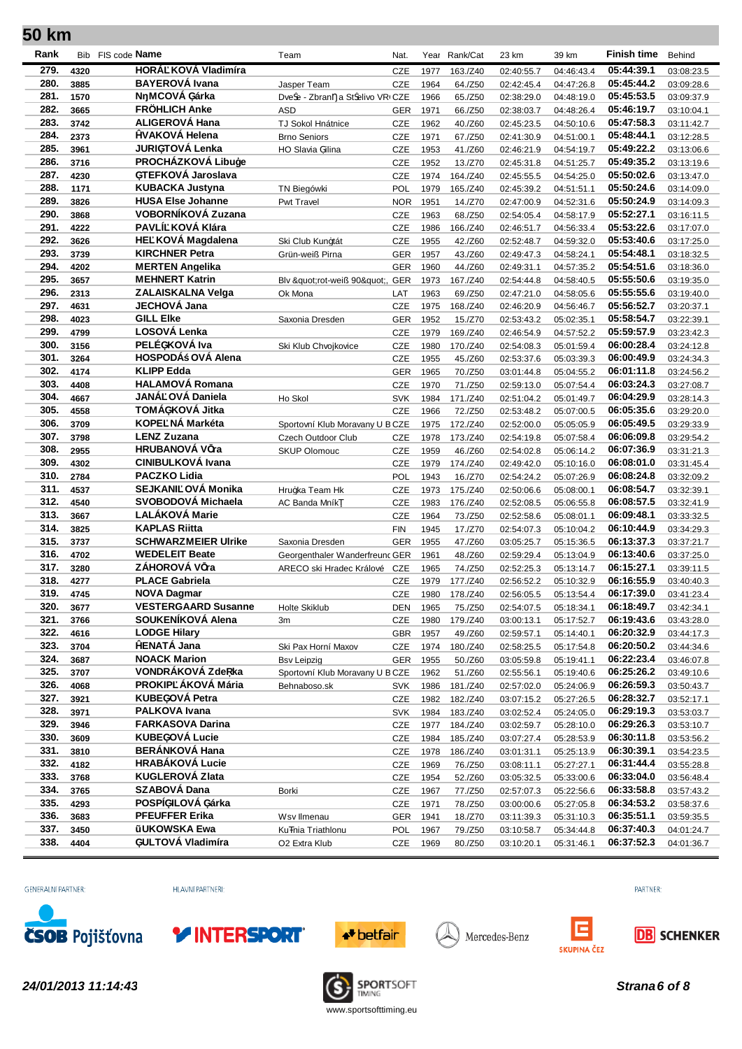| Rank         |              | Bib FIS code <b>Name</b>                       | Team                                              | Nat.                     |              | Year Rank/Cat      | 23 km                    | 39 km                    | <b>Finish time</b>       | Behind                   |
|--------------|--------------|------------------------------------------------|---------------------------------------------------|--------------------------|--------------|--------------------|--------------------------|--------------------------|--------------------------|--------------------------|
| 279.         | 4320         | HORÁ KOVÁ Vladimíra                            |                                                   | CZE                      | 1977         | 163./Z40           | 02:40:55.7               | 04:46:43.4               | 05:44:39.1               | 03:08:23.5               |
| 280.         | 3885         | <b>BAYEROVÁ Ivana</b>                          | Jasper Team                                       | CZE                      | 1964         | 64./Z50            | 02:42:45.4               | 04:47:26.8               | 05:45:44.2               | 03:09:28.6               |
| 281.         | 1570         | N MCOVA üárka                                  | Dve e - Zbran a St elivo VRI CZE                  |                          | 1966         | 65./Z50            | 02:38:29.0               | 04:48:19.0               | 05:45:53.5               | 03:09:37.9               |
| 282.         | 3665         | <b>FRÖHLICH Anke</b>                           | <b>ASD</b>                                        | <b>GER</b>               | 1971         | 66./Z50            | 02:38:03.7               | 04:48:26.4               | 05:46:19.7               | 03:10:04.1               |
| 283.         | 3742         | <b>ALIGEROVÁ Hana</b>                          | TJ Sokol Hnátnice                                 | CZE                      | 1962         | 40./Z60            | 02:45:23.5               | 04:50:10.6               | 05:47:58.3               | 03:11:42.7               |
| 284.         | 2373         | <b>bVAKOVÁ Helena</b>                          | <b>Brno Seniors</b>                               | CZE                      | 1971         | 67./Z50            | 02:41:30.9               | 04:51:00.1               | 05:48:44.1               | 03:12:28.5               |
| 285.         | 3961         | <b>JURIÜTOVÁ Lenka</b>                         | HO Slavia žilina                                  | CZE                      | 1953         | 41./Z60            | 02:46:21.9               | 04:54:19.7               | 05:49:22.2               | 03:13:06.6               |
| 286.         | 3716         | PROCHÁZKOVÁ Libuýe                             |                                                   | CZE                      | 1952         | 13./Z70            | 02:45:31.8               | 04:51:25.7               | 05:49:35.2               | 03:13:19.6               |
| 287.         | 4230         | üTEFKOVÁ Jaroslava                             |                                                   | <b>CZE</b>               | 1974         | 164./Z40           | 02:45:55.5               | 04:54:25.0               | 05:50:02.6               | 03:13:47.0               |
| 288.         | 1171         | <b>KUBACKA Justyna</b>                         | TN Biegówki                                       | POL                      | 1979         | 165./Z40           | 02:45:39.2               | 04:51:51.1               | 05:50:24.6               | 03:14:09.0               |
| 289.         | 3826         | <b>HUSA Else Johanne</b>                       | Pwt Travel                                        | <b>NOR</b>               | 1951         | 14./Z70            | 02:47:00.9               | 04:52:31.6               | 05:50:24.9               | 03:14:09.3               |
| 290.<br>291. | 3868         | VOBORNÍKOVÁ Zuzana<br>PAVLÍ KOVÁ Klára         |                                                   | <b>CZE</b>               | 1963         | 68./Z50            | 02:54:05.4               | 04:58:17.9               | 05:52:27.1               | 03:16:11.5               |
| 292.         | 4222         | HE KOVÁ Magdalena                              |                                                   | <b>CZE</b>               | 1986         | 166./Z40           | 02:46:51.7               | 04:56:33.4               | 05:53:22.6<br>05:53:40.6 | 03:17:07.0               |
| 293.         | 3626<br>3739 | <b>KIRCHNER Petra</b>                          | Ski Club Kunztát<br>Grün-weiß Pirna               | CZE<br>GER               | 1955<br>1957 | 42./Z60<br>43./Z60 | 02:52:48.7<br>02:49:47.3 | 04:59:32.0<br>04:58:24.1 | 05:54:48.1               | 03:17:25.0<br>03:18:32.5 |
| 294.         | 4202         | <b>MERTEN Angelika</b>                         |                                                   | <b>GER</b>               | 1960         | 44./Z60            | 02:49:31.1               | 04:57:35.2               | 05:54:51.6               | 03:18:36.0               |
| 295.         | 3657         | <b>MEHNERT Katrin</b>                          | Blv "rot-weiß 90", GER                            |                          | 1973         | 167./Z40           | 02:54:44.8               | 04:58:40.5               | 05:55:50.6               | 03:19:35.0               |
| 296.         | 2313         | <b>ZALAISKALNA Velga</b>                       | Ok Mona                                           | LAT                      | 1963         | 69./Z50            | 02:47:21.0               | 04:58:05.6               | 05:55:55.6               | 03:19:40.0               |
| 297.         | 4631         | <b>JECHOVÁ Jana</b>                            |                                                   | CZE                      | 1975         | 168./Z40           | 02:46:20.9               | 04:56:46.7               | 05:56:52.7               | 03:20:37.1               |
| 298.         | 4023         | <b>GILL EIke</b>                               | Saxonia Dresden                                   | <b>GER</b>               | 1952         | 15./Z70            | 02:53:43.2               | 05:02:35.1               | 05:58:54.7               | 03:22:39.1               |
| 299.         | 4799         | LOSOVÁ Lenka                                   |                                                   | <b>CZE</b>               | 1979         | 169./Z40           | 02:46:54.9               | 04:57:52.2               | 05:59:57.9               | 03:23:42.3               |
| 300.         | 3156         | PELÉüKOVÁ Iva                                  | Ski Klub Chvojkovice                              | CZE                      | 1980         | 170./Z40           | 02:54:08.3               | 05:01:59.4               | 06:00:28.4               | 03:24:12.8               |
| 301.         | 3264         | HOSPODÁ OVÁ Alena                              |                                                   | CZE                      | 1955         | 45./Z60            | 02:53:37.6               | 05:03:39.3               | 06:00:49.9               | 03:24:34.3               |
| 302.         | 4174         | <b>KLIPP Edda</b>                              |                                                   | <b>GER</b>               | 1965         | 70./Z50            | 03:01:44.8               | 05:04:55.2               | 06:01:11.8               | 03:24:56.2               |
| 303.         | 4408         | <b>HALAMOVÁ Romana</b>                         |                                                   | <b>CZE</b>               | 1970         | 71./Z50            | 02:59:13.0               | 05:07:54.4               | 06:03:24.3               | 03:27:08.7               |
| 304.         | 4667         | JANÁ OVÁ Daniela                               | Ho Skol                                           | <b>SVK</b>               | 1984         | 171./Z40           | 02:51:04.2               | 05:01:49.7               | 06:04:29.9               | 03:28:14.3               |
| 305.         | 4558         | TOMÁüKOVÁ Jitka                                |                                                   | CZE                      | 1966         | 72./Z50            | 02:53:48.2               | 05:07:00.5               | 06:05:35.6               | 03:29:20.0               |
| 306.         | 3709         | KOPE NÁ Markéta                                | Sportovní Klub Moravany U B CZE                   |                          | 1975         | 172./Z40           | 02:52:00.0               | 05:05:05.9               | 06:05:49.5               | 03:29:33.9               |
| 307.         | 3798         | <b>LENZ Zuzana</b>                             | Czech Outdoor Club                                | <b>CZE</b>               | 1978         | 173./Z40           | 02:54:19.8               | 05:07:58.4               | 06:06:09.8               | 03:29:54.2               |
| 308.         | 2955         | HRUBANOVÁ V ra                                 | <b>SKUP Olomouc</b>                               | CZE                      | 1959         | 46./Z60            | 02:54:02.8               | 05:06:14.2               | 06:07:36.9               | 03:31:21.3               |
| 309.         | 4302         | <b>CINIBULKOVÁ Ivana</b>                       |                                                   | CZE                      | 1979         | 174./Z40           | 02:49:42.0               | 05:10:16.0               | 06:08:01.0               | 03:31:45.4               |
| 310.         | 2784         | <b>PACZKO Lidia</b>                            |                                                   | POL                      | 1943         | 16./Z70            | 02:54:24.2               | 05:07:26.9               | 06:08:24.8               | 03:32:09.2               |
| 311.         | 4537         | SEJKANI OVÁ Monika                             | Hruzka Team Hk                                    | <b>CZE</b>               | 1973         | 175./Z40           | 02:50:06.6               | 05:08:00.1               | 06:08:54.7               | 03:32:39.1               |
| 312.         | 4540         | SVOBODOVÁ Michaela<br><b>LALÁKOVÁ Marie</b>    | AC Banda Mník                                     | CZE                      | 1983         | 176./Z40           | 02:52:08.5               | 05:06:55.8               | 06:08:57.5               | 03:32:41.9               |
| 313.<br>314. | 3667         | <b>KAPLAS Riitta</b>                           |                                                   | CZE                      | 1964         | 73./Z50            | 02:52:58.6               | 05:08:01.1               | 06:09:48.1<br>06:10:44.9 | 03:33:32.5               |
| 315.         | 3825<br>3737 | <b>SCHWARZMEIER Ulrike</b>                     |                                                   | <b>FIN</b><br><b>GER</b> | 1945<br>1955 | 17./Z70<br>47./Z60 | 02:54:07.3<br>03:05:25.7 | 05:10:04.2<br>05:15:36.5 | 06:13:37.3               | 03:34:29.3<br>03:37:21.7 |
| 316.         | 4702         | <b>WEDELEIT Beate</b>                          | Saxonia Dresden<br>Georgenthaler Wanderfreund GER |                          | 1961         | 48./Z60            | 02:59:29.4               | 05:13:04.9               | 06:13:40.6               | 03:37:25.0               |
| 317.         | 3280         | ZÁHOROVÁ V ra                                  | ARECO ski Hradec Králové                          | CZE                      | 1965         | 74./Z50            | 02:52:25.3               | 05:13:14.7               | 06:15:27.1               | 03:39:11.5               |
| 318.         | 4277         | <b>PLACE Gabriela</b>                          |                                                   | <b>CZE</b>               | 1979         | 177./Z40           | 02:56:52.2               | 05:10:32.9               | 06:16:55.9               | 03:40:40.3               |
| 319.         | 4745         | <b>NOVA Dagmar</b>                             |                                                   | CZE                      | 1980         | 178./Z40           | 02:56:05.5               | 05:13:54.4               | 06:17:39.0               | 03:41:23.4               |
| 320.         | 3677         | <b>VESTERGAARD Susanne</b>                     | Holte Skiklub                                     |                          | DEN 1965     | 75./Z50            | 02:54:07.5               | 05:18:34.1               | 06:18:49.7               | 03:42:34.1               |
| 321.         | 3766         | SOUKENÍKOVÁ Alena                              | 3m                                                | <b>CZE</b>               | 1980         | 179./Z40           | 03:00:13.1               | 05:17:52.7               | 06:19:43.6               | 03:43:28.0               |
| 322.         | 4616         | <b>LODGE Hilary</b>                            |                                                   | GBR                      | 1957         | 49./Z60            | 02:59:57.1               | 05:14:40.1               | 06:20:32.9               | 03:44:17.3               |
| 323.         | 3704         | <b>bENATÁ Jana</b>                             | Ski Pax Horní Maxov                               | CZE                      | 1974         | 180./Z40           | 02:58:25.5               | 05:17:54.8               | 06:20:50.2               | 03:44:34.6               |
| 324.         | 3687         | <b>NOACK Marion</b>                            | <b>Bsv Leipzig</b>                                | <b>GER</b>               | 1955         | 50./Z60            | 03:05:59.8               | 05:19:41.1               | 06:22:23.4               | 03:46:07.8               |
| 325.         | 3707         | VONDRÁKOVÁ Zde ka                              | Sportovní Klub Moravany U B CZE                   |                          | 1962         | 51./Z60            | 02:55:56.1               | 05:19:40.6               | 06:25:26.2               | 03:49:10.6               |
| 326.         | 4068         | PROKIP ÁKOVÁ Mária                             | Behnaboso.sk                                      | SVK                      | 1986         | 181./Z40           | 02:57:02.0               | 05:24:06.9               | 06:26:59.3               | 03:50:43.7               |
| 327.         | 3921         | <b>KUBEüOVÁ Petra</b>                          |                                                   | CZE                      | 1982         | 182./Z40           | 03:07:15.2               | 05:27:26.5               | 06:28:32.7               | 03:52:17.1               |
| 328.         | 3971         | <b>PALKOVA Ivana</b>                           |                                                   | <b>SVK</b>               | 1984         | 183./Z40           | 03:02:52.4               | 05:24:05.0               | 06:29:19.3               | 03:53:03.7               |
| 329.         | 3946         | <b>FARKASOVA Darina</b>                        |                                                   | CZE                      | 1977         | 184./Z40           | 03:02:59.7               | 05:28:10.0               | 06:29:26.3               | 03:53:10.7               |
| 330.         | 3609         | <b>KUBEüOVA Lucie</b><br><b>BERÁNKOVÁ Hana</b> |                                                   | <b>CZE</b>               | 1984         | 185./Z40           | 03:07:27.4               | 05:28:53.9               | 06:30:11.8               | 03:53:56.2               |
| 331.         | 3810         | <b>HRABÁKOVÁ Lucie</b>                         |                                                   | CZE                      | 1978         | 186./Z40           | 03:01:31.1               | 05:25:13.9               | 06:30:39.1               | 03:54:23.5               |
| 332.         | 4182         | <b>KUGLEROVÁ Zlata</b>                         |                                                   | <b>CZE</b>               | 1969         | 76./Z50            | 03:08:11.1               | 05:27:27.1               | 06:31:44.4               | 03:55:28.8               |
| 333.<br>334. | 3768         | SZABOVÁ Dana                                   |                                                   | CZE                      | 1954         | 52./Z60            | 03:05:32.5               | 05:33:00.6               | 06:33:04.0<br>06:33:58.8 | 03:56:48.4               |
| 335.         | 3765<br>4293 | POSPÍüILOVÁ üárka                              | Borki                                             | <b>CZE</b>               | 1967<br>1971 | 77./Z50<br>78./Z50 | 02:57:07.3               | 05:22:56.6<br>05:27:05.8 | 06:34:53.2               | 03:57:43.2               |
| 336.         | 3683         | <b>PFEUFFER Erika</b>                          | Wsv Ilmenau                                       | CZE<br><b>GER</b>        | 1941         | 18./Z70            | 03:00:00.6<br>03:11:39.3 | 05:31:10.3               | 06:35:51.1               | 03:58:37.6<br>03:59:35.5 |
| 337.         | 3450         | <b>UKOWSKA Ewa</b>                             | Ku nia Triathlonu                                 | POL                      | 1967         | 79./Z50            | 03:10:58.7               | 05:34:44.8               | 06:37:40.3               | 04:01:24.7               |
| 338.         | 4404         | üULTOVÁ Vladimíra                              | O <sub>2</sub> Extra Klub                         | <b>CZE</b>               | 1969         | 80./Z50            | 03:10:20.1               | 05:31:46.1               | 06:37:52.3               | 04:01:36.7               |
|              |              |                                                |                                                   |                          |              |                    |                          |                          |                          |                          |

GENERÁLNÍ PARTNER:

HLAVNÍ PARTNEŘI:





Mercedes-Benz





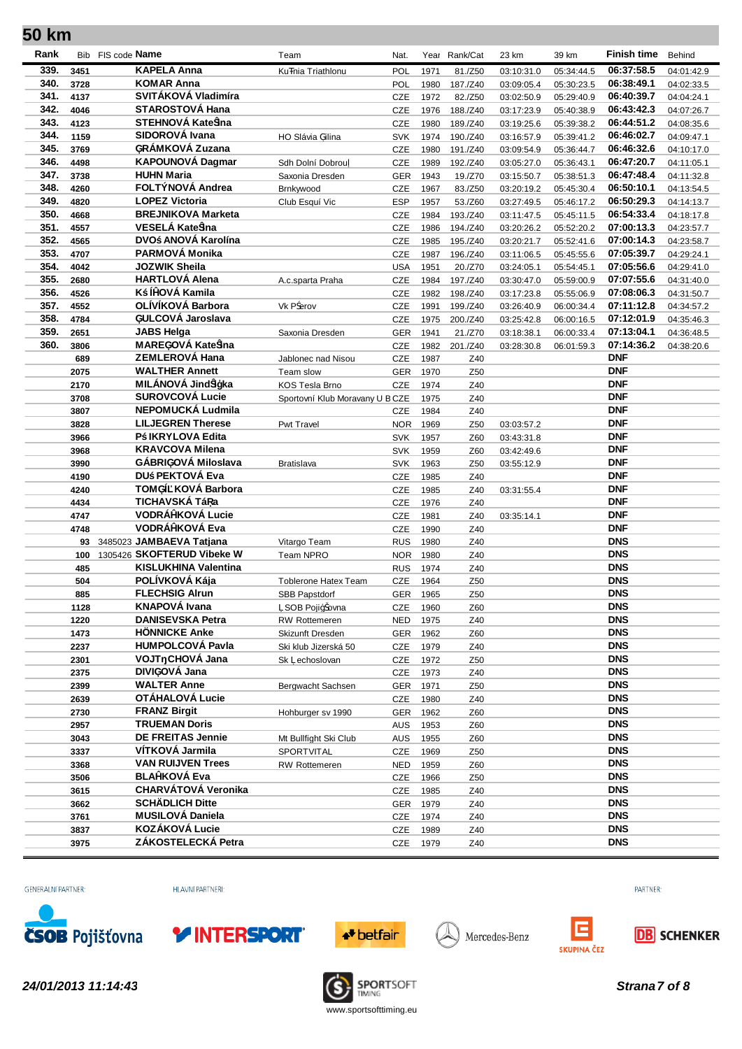| Rank         |              | Bib FIS code <b>Name</b>                                      | Team                            | Nat.              |              | Year Rank/Cat        | 23 km                    | 39 km                    | <b>Finish time</b>       | Behind                   |
|--------------|--------------|---------------------------------------------------------------|---------------------------------|-------------------|--------------|----------------------|--------------------------|--------------------------|--------------------------|--------------------------|
| 339.         | 3451         | <b>KAPELA Anna</b>                                            | Ku nia Triathlonu               | POL               | 1971         | 81./Z50              | 03:10:31.0               | 05:34:44.5               | 06:37:58.5               | 04:01:42.9               |
| 340.         | 3728         | <b>KOMAR Anna</b>                                             |                                 | POL               | 1980         | 187./Z40             | 03:09:05.4               | 05:30:23.5               | 06:38:49.1               | 04:02:33.5               |
| 341.         | 4137         | SVITÁKOVÁ Vladimíra                                           |                                 | <b>CZE</b>        | 1972         | 82./Z50              | 03:02:50.9               | 05:29:40.9               | 06:40:39.7               | 04:04:24.1               |
| 342.         | 4046         | <b>STAROSTOVÁ Hana</b>                                        |                                 | CZE               | 1976         | 188./Z40             | 03:17:23.9               | 05:40:38.9               | 06:43:42.3               | 04:07:26.7               |
| 343.         | 4123         | STEHNOVÁ Kate ina                                             |                                 | CZE               | 1980         | 189./Z40             | 03:19:25.6               | 05:39:38.2               | 06:44:51.2               | 04:08:35.6               |
| 344.         | 1159         | SIDOROVÁ Ivana                                                | HO Slávia žilina                | <b>SVK</b>        | 1974         | 190./Z40             | 03:16:57.9               | 05:39:41.2               | 06:46:02.7               | 04:09:47.1               |
| 345.         | 3769         | üRÁMKOVÁ Zuzana                                               |                                 | CZE               | 1980         | 191./Z40             | 03:09:54.9               | 05:36:44.7               | 06:46:32.6               | 04:10:17.0               |
| 346.         | 4498         | <b>KAPOUNOVÁ Dagmar</b>                                       | Sdh Dolní Dobrou                | CZE               | 1989         | 192./Z40             | 03:05:27.0               | 05:36:43.1               | 06:47:20.7               | 04:11:05.1               |
| 347.         | 3738         | <b>HUHN Maria</b>                                             | Saxonia Dresden                 | <b>GER</b>        | 1943         | 19./Z70              | 03:15:50.7               | 05:38:51.3               | 06:47:48.4               | 04:11:32.8               |
| 348.         | 4260         | FOLTÝNOVÁ Andrea                                              | Brnkywood                       | CZE               | 1967         | 83./Z50              | 03:20:19.2               | 05:45:30.4               | 06:50:10.1               | 04:13:54.5               |
| 349.         | 4820         | <b>LOPEZ Victoria</b>                                         | Club Esquí Vic                  | <b>ESP</b>        | 1957         | 53./Z60              | 03:27:49.5               | 05:46:17.2               | 06:50:29.3               | 04:14:13.7               |
| 350.         | 4668         | <b>BREJNIKOVA Marketa</b>                                     |                                 | CZE               | 1984         | 193./Z40             | 03:11:47.5               | 05:45:11.5               | 06:54:33.4               | 04:18:17.8               |
| 351.         | 4557         | VESELÁ Kate ina                                               |                                 | <b>CZE</b>        | 1986         | 194./Z40             | 03:20:26.2               | 05:52:20.2               | 07:00:13.3               | 04:23:57.7               |
| 352.         | 4565         | DVO ANOVÁ Karolína                                            |                                 | CZE               | 1985         | 195./Z40             | 03:20:21.7               | 05:52:41.6               | 07:00:14.3               | 04:23:58.7               |
| 353.         | 4707         | PARMOVÁ Monika                                                |                                 | CZE               | 1987         | 196./Z40             | 03:11:06.5               | 05:45:55.6               | 07:05:39.7               | 04:29:24.1               |
| 354.         | 4042         | <b>JOZWIK Sheila</b>                                          |                                 | <b>USA</b>        | 1951         | 20./Z70              | 03:24:05.1               | 05:54:45.1               | 07:05:56.6               | 04:29:41.0               |
| 355.<br>356. | 2680         | <b>HARTLOVÁ Alena</b><br>K ÍþOVÁ Kamila                       | A.c.sparta Praha                | CZE               | 1984         | 197./Z40             | 03:30:47.0               | 05:59:00.9               | 07:07:55.6               | 04:31:40.0               |
| 357.         | 4526<br>4552 | OLÍVÍKOVÁ Barbora                                             | Vk P erov                       | CZE<br>CZE        | 1982<br>1991 | 198./Z40             | 03:17:23.8               | 05:55:06.9               | 07:08:06.3<br>07:11:12.8 | 04:31:50.7               |
| 358.         | 4784         | üULCOVÁ Jaroslava                                             |                                 | CZE               | 1975         | 199./Z40<br>200./Z40 | 03:26:40.9<br>03:25:42.8 | 06:00:34.4<br>06:00:16.5 | 07:12:01.9               | 04:34:57.2<br>04:35:46.3 |
| 359.         | 2651         | <b>JABS Helga</b>                                             | Saxonia Dresden                 | <b>GER</b>        | 1941         | 21./Z70              | 03:18:38.1               | 06:00:33.4               | 07:13:04.1               | 04:36:48.5               |
| 360.         | 3806         | MAREüOVÁ Kate ina                                             |                                 | CZE               | 1982         | 201./Z40             | 03:28:30.8               | 06:01:59.3               | 07:14:36.2               | 04:38:20.6               |
|              | 689          | <b>ZEMLEROVÁ Hana</b>                                         | Jablonec nad Nisou              | CZE               | 1987         | Z40                  |                          |                          | <b>DNF</b>               |                          |
|              | 2075         | <b>WALTHER Annett</b>                                         | Team slow                       |                   | GER 1970     | Z50                  |                          |                          | <b>DNF</b>               |                          |
|              | 2170         | MILÁNOVÁ Jind iýka                                            | KOS Tesla Brno                  | <b>CZE</b>        | 1974         | Z40                  |                          |                          | <b>DNF</b>               |                          |
|              | 3708         | <b>SUROVCOVÁ Lucie</b>                                        | Sportovní Klub Moravany U B CZE |                   | 1975         | Z40                  |                          |                          | <b>DNF</b>               |                          |
|              | 3807         | NEPOMUCKÁ Ludmila                                             |                                 | CZE               | 1984         | Z40                  |                          |                          | <b>DNF</b>               |                          |
|              | 3828         | <b>LILJEGREN Therese</b>                                      | Pwt Travel                      | <b>NOR</b>        | 1969         | Z50                  | 03:03:57.2               |                          | <b>DNF</b>               |                          |
|              | 3966         | P IKRYLOVA Edita                                              |                                 | <b>SVK</b>        | 1957         | Z60                  | 03:43:31.8               |                          | <b>DNF</b>               |                          |
|              | 3968         | <b>KRAVCOVA Milena</b>                                        |                                 | <b>SVK</b>        | 1959         | Z60                  | 03:42:49.6               |                          | <b>DNF</b>               |                          |
|              | 3990         | GÁBRIüOVÁ Miloslava                                           | <b>Bratislava</b>               | <b>SVK</b>        | 1963         | Z50                  | 03:55:12.9               |                          | <b>DNF</b>               |                          |
|              | 4190         | DU PEKTOVÁ Eva                                                |                                 | CZE               | 1985         | Z40                  |                          |                          | <b>DNF</b>               |                          |
|              | 4240         | TOMüÍ KOVÁ Barbora                                            |                                 | CZE               | 1985         | Z40                  | 03:31:55.4               |                          | <b>DNF</b>               |                          |
|              | 4434         | TICHAVSKÁ Tá a                                                |                                 | CZE               | 1976         | Z40                  |                          |                          | <b>DNF</b>               |                          |
|              | 4747         | <b>VODRÁbKOVÁ Lucie</b>                                       |                                 | CZE               | 1981         | Z40                  | 03:35:14.1               |                          | <b>DNF</b>               |                          |
|              | 4748         | VODRÁÞKOVÁ Eva                                                |                                 | CZE               | 1990         | Z40                  |                          |                          | <b>DNF</b>               |                          |
|              |              | 93 3485023 JAMBAEVA Tatjana<br>100 1305426 SKOFTERUD Vibeke W | Vitargo Team                    | <b>RUS</b>        | 1980         | Z40                  |                          |                          | <b>DNS</b><br><b>DNS</b> |                          |
|              |              | <b>KISLUKHINA Valentina</b>                                   | Team NPRO                       | <b>NOR</b>        | 1980         | Z40                  |                          |                          | <b>DNS</b>               |                          |
|              | 485<br>504   | POLÍVKOVÁ Kája                                                | <b>Toblerone Hatex Team</b>     | <b>RUS</b><br>CZE | 1974<br>1964 | Z40<br>Z50           |                          |                          | <b>DNS</b>               |                          |
|              | 885          | <b>FLECHSIG Alrun</b>                                         | SBB Papstdorf                   | <b>GER</b>        | 1965         | Z50                  |                          |                          | <b>DNS</b>               |                          |
|              | 1128         | <b>KNAPOVÁ Ivana</b>                                          | SOB Pojiz ovna                  |                   | CZE 1960     | Z60                  |                          |                          | <b>DNS</b>               |                          |
|              | 1220         | <b>DANISEVSKA Petra</b>                                       | RW Rottemeren                   | <b>NED</b>        | 1975         | Z40                  |                          |                          | <b>DNS</b>               |                          |
|              | 1473         | <b>HÖNNICKE Anke</b>                                          | Skizunft Dresden                |                   | GER 1962     | Z60                  |                          |                          | <b>DNS</b>               |                          |
|              | 2237         | <b>HUMPOLCOVÁ Pavla</b>                                       | Ski klub Jizerská 50            |                   | CZE 1979     | Z40                  |                          |                          | <b>DNS</b>               |                          |
|              | 2301         | VOJT CHOVÁ Jana                                               | Sk echoslovan                   | <b>CZE</b>        | 1972         | Z50                  |                          |                          | <b>DNS</b>               |                          |
|              | 2375         | DIVIüOVÁ Jana                                                 |                                 | <b>CZE</b>        | 1973         | Z40                  |                          |                          | <b>DNS</b>               |                          |
|              | 2399         | <b>WALTER Anne</b>                                            | Bergwacht Sachsen               | GER 1971          |              | Z50                  |                          |                          | <b>DNS</b>               |                          |
|              | 2639         | OTÁHALOVÁ Lucie                                               |                                 | <b>CZE</b>        | 1980         | Z40                  |                          |                          | <b>DNS</b>               |                          |
|              | 2730         | <b>FRANZ Birgit</b>                                           | Hohburger sv 1990               |                   | GER 1962     | Z60                  |                          |                          | <b>DNS</b>               |                          |
|              | 2957         | <b>TRUEMAN Doris</b>                                          |                                 | <b>AUS</b>        | 1953         | Z60                  |                          |                          | <b>DNS</b>               |                          |
|              | 3043         | <b>DE FREITAS Jennie</b>                                      | Mt Bullfight Ski Club           |                   | AUS 1955     | Z60                  |                          |                          | <b>DNS</b>               |                          |
|              | 3337         | VÍTKOVÁ Jarmila                                               | SPORTVITAL                      | <b>CZE</b>        | 1969         | Z50                  |                          |                          | <b>DNS</b>               |                          |
|              | 3368         | <b>VAN RUIJVEN Trees</b>                                      | RW Rottemeren                   | <b>NED</b>        | 1959         | Z60                  |                          |                          | <b>DNS</b>               |                          |
|              | 3506         | <b>BLAbKOVÁ Eva</b>                                           |                                 | CZE               | 1966         | Z50                  |                          |                          | <b>DNS</b>               |                          |
|              | 3615         | <b>CHARVÁTOVÁ Veronika</b>                                    |                                 | CZE               | 1985         | Z40                  |                          |                          | <b>DNS</b>               |                          |
|              | 3662         | <b>SCHÄDLICH Ditte</b>                                        |                                 |                   | GER 1979     | Z40                  |                          |                          | <b>DNS</b>               |                          |
|              | 3761         | <b>MUSILOVÁ Daniela</b><br>KOZÁKOVÁ Lucie                     |                                 | CZE               | 1974         | Z40                  |                          |                          | <b>DNS</b><br><b>DNS</b> |                          |
|              | 3837         | ZÁKOSTELECKÁ Petra                                            |                                 | CZE               | 1989         | Z40                  |                          |                          | <b>DNS</b>               |                          |
|              | 3975         |                                                               |                                 |                   | CZE 1979     | Z40                  |                          |                          |                          |                          |

GENERÁLNÍ PARTNER:

HLAVNÍ PARTNEŘI:





Mercedes-Benz





*24/01/2013 11:14:43 Strana7 of 8*